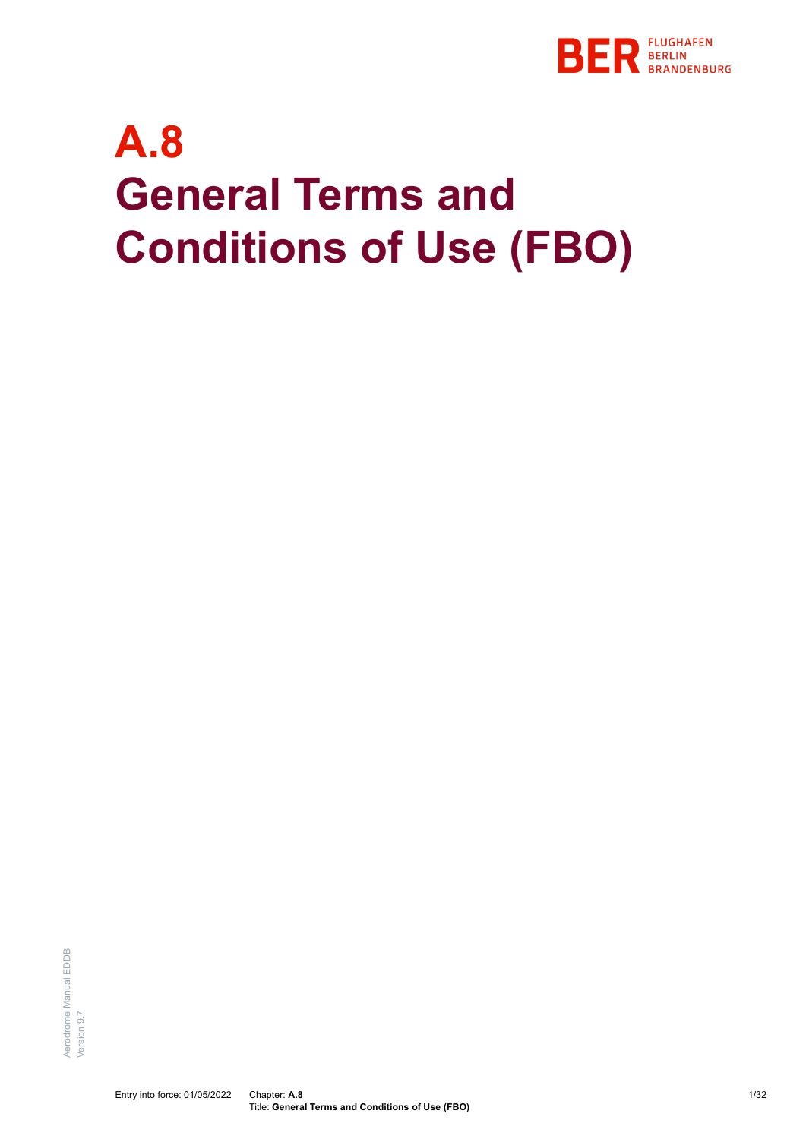

# **A.8 General Terms and Conditions of Use (FBO)**

Aerodrome Manual EDDB Aerodrome Manual EDDB /ersion 9.7 Version 9.7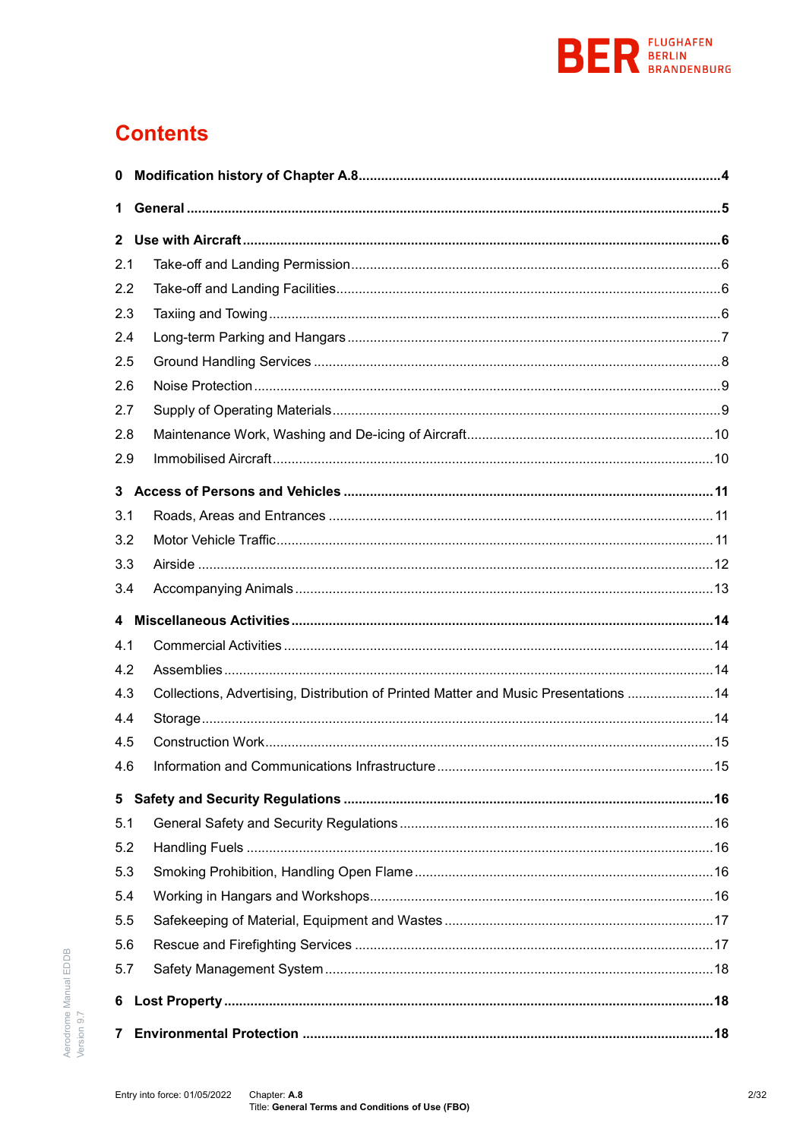

# **Contents**

| 0              |                                                                                      |     |
|----------------|--------------------------------------------------------------------------------------|-----|
| 1              |                                                                                      |     |
| $\mathbf{2}$   |                                                                                      |     |
| 2.1            |                                                                                      |     |
| 2.2            |                                                                                      |     |
| 2.3            |                                                                                      |     |
| 2.4            |                                                                                      |     |
| 2.5            |                                                                                      |     |
| 2.6            |                                                                                      |     |
| 2.7            |                                                                                      |     |
| 2.8            |                                                                                      |     |
| 2.9            |                                                                                      |     |
|                |                                                                                      |     |
| 3.1            |                                                                                      |     |
| 3.2            |                                                                                      |     |
| 3.3            |                                                                                      |     |
| 3.4            |                                                                                      |     |
|                |                                                                                      |     |
| 4.1            |                                                                                      |     |
| 4.2            |                                                                                      |     |
| 4.3            | Collections, Advertising, Distribution of Printed Matter and Music Presentations  14 |     |
| 4.4            |                                                                                      |     |
| 4.5            |                                                                                      |     |
| 4.6            |                                                                                      | .15 |
| 5 <sub>5</sub> |                                                                                      |     |
| 5.1            |                                                                                      |     |
| 5.2            |                                                                                      |     |
| 5.3            |                                                                                      |     |
| 5.4            |                                                                                      |     |
| 5.5            |                                                                                      |     |
| 5.6            |                                                                                      |     |
| 5.7            |                                                                                      |     |
| 6              |                                                                                      |     |
| 7              |                                                                                      |     |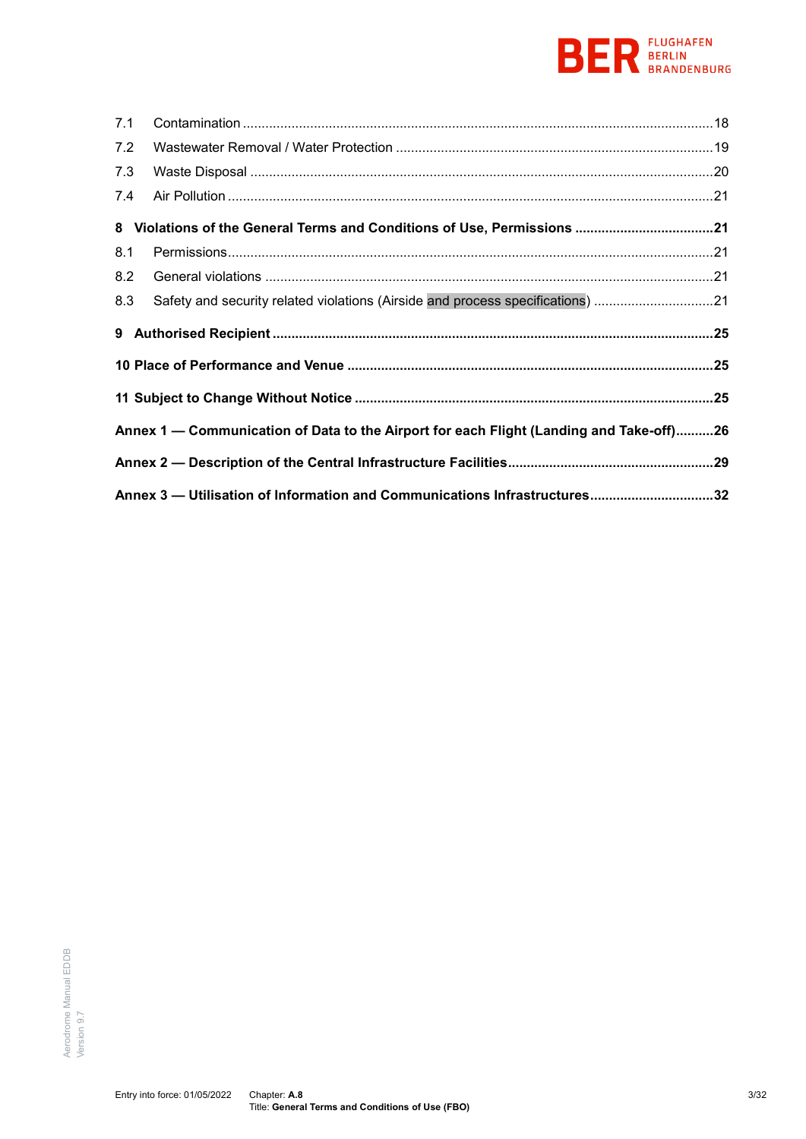# **BEREAD BERLIN**

| 7.1 |                                                                                         |  |
|-----|-----------------------------------------------------------------------------------------|--|
| 7.2 |                                                                                         |  |
| 7.3 |                                                                                         |  |
| 7.4 |                                                                                         |  |
|     | 8 Violations of the General Terms and Conditions of Use, Permissions 21                 |  |
| 8.1 |                                                                                         |  |
| 8.2 |                                                                                         |  |
|     | Safety and security related violations (Airside and process specifications) 21          |  |
| 8.3 |                                                                                         |  |
|     |                                                                                         |  |
|     |                                                                                         |  |
|     |                                                                                         |  |
|     | Annex 1 — Communication of Data to the Airport for each Flight (Landing and Take-off)26 |  |
|     |                                                                                         |  |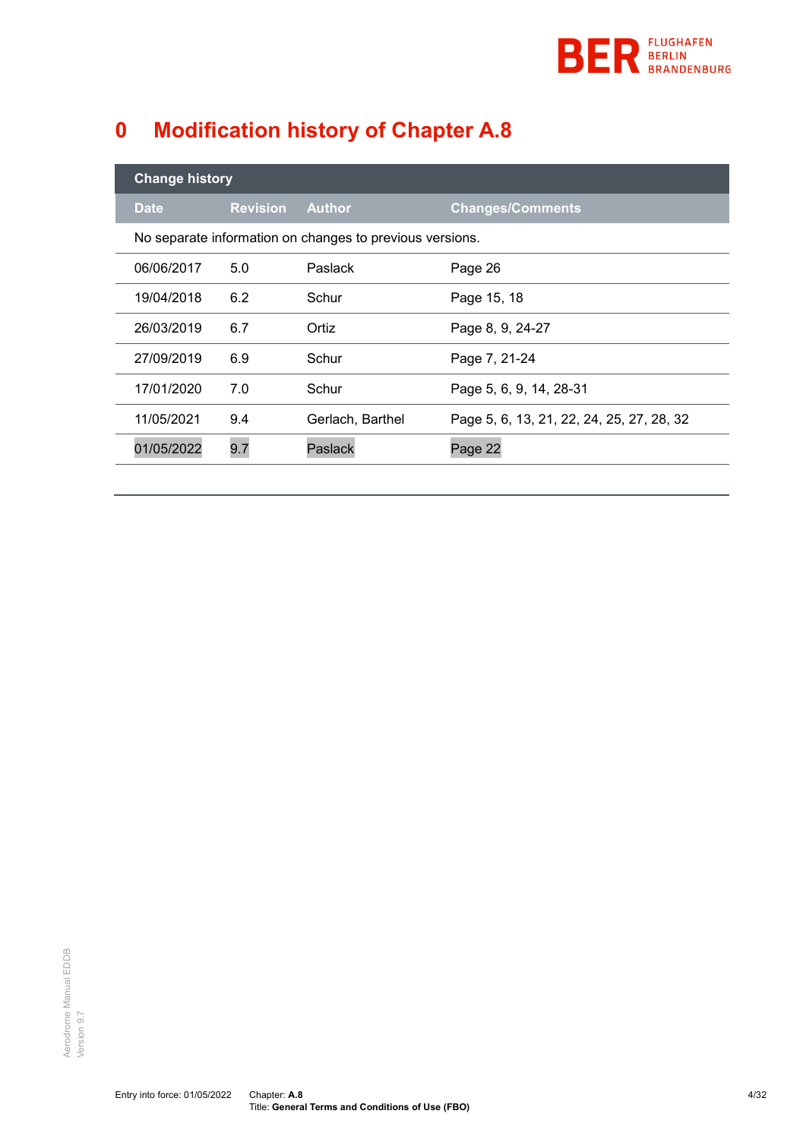

# <span id="page-3-0"></span>**0 Modification history of Chapter A.8**

| <b>Change history</b> |                 |                                                          |                                           |  |
|-----------------------|-----------------|----------------------------------------------------------|-------------------------------------------|--|
| <b>Date</b>           | <b>Revision</b> | <b>Author</b>                                            | <b>Changes/Comments</b>                   |  |
|                       |                 | No separate information on changes to previous versions. |                                           |  |
| 06/06/2017            | 5.0             | <b>Paslack</b>                                           | Page 26                                   |  |
| 19/04/2018            | 6.2             | Schur                                                    | Page 15, 18                               |  |
| 26/03/2019            | 6.7             | Ortiz                                                    | Page 8, 9, 24-27                          |  |
| 27/09/2019            | 6.9             | Schur                                                    | Page 7, 21-24                             |  |
| 17/01/2020            | 7.0             | Schur                                                    | Page 5, 6, 9, 14, 28-31                   |  |
| 11/05/2021            | 9.4             | Gerlach, Barthel                                         | Page 5, 6, 13, 21, 22, 24, 25, 27, 28, 32 |  |
| 01/05/2022            | 9.7             | Paslack                                                  | Page 22                                   |  |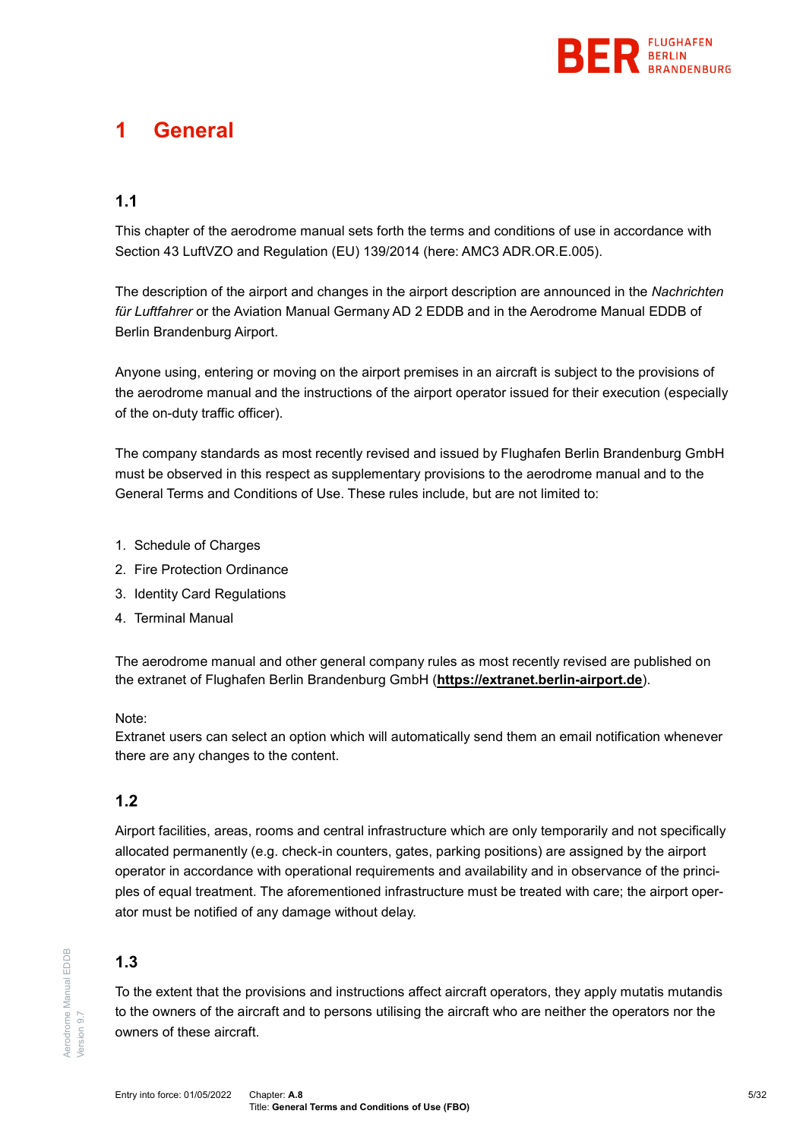

# <span id="page-4-0"></span>**1 General**

# **1.1**

This chapter of the aerodrome manual sets forth the terms and conditions of use in accordance with Section 43 LuftVZO and Regulation (EU) 139/2014 (here: AMC3 ADR.OR.E.005).

The description of the airport and changes in the airport description are announced in the *Nachrichten für Luftfahrer* or the Aviation Manual Germany AD 2 EDDB and in the Aerodrome Manual EDDB of Berlin Brandenburg Airport.

Anyone using, entering or moving on the airport premises in an aircraft is subject to the provisions of the aerodrome manual and the instructions of the airport operator issued for their execution (especially of the on-duty traffic officer).

The company standards as most recently revised and issued by Flughafen Berlin Brandenburg GmbH must be observed in this respect as supplementary provisions to the aerodrome manual and to the General Terms and Conditions of Use. These rules include, but are not limited to:

- 1. Schedule of Charges
- 2. Fire Protection Ordinance
- 3. Identity Card Regulations
- 4. Terminal Manual

The aerodrome manual and other general company rules as most recently revised are published on the extranet of Flughafen Berlin Brandenburg GmbH (**[https://extranet.berlin-airport.de](https://extranet.berlin-airport.de/)**).

#### Note:

Extranet users can select an option which will automatically send them an email notification whenever there are any changes to the content.

# **1.2**

Airport facilities, areas, rooms and central infrastructure which are only temporarily and not specifically allocated permanently (e.g. check-in counters, gates, parking positions) are assigned by the airport operator in accordance with operational requirements and availability and in observance of the principles of equal treatment. The aforementioned infrastructure must be treated with care; the airport operator must be notified of any damage without delay.

## **1.3**

To the extent that the provisions and instructions affect aircraft operators, they apply mutatis mutandis to the owners of the aircraft and to persons utilising the aircraft who are neither the operators nor the owners of these aircraft.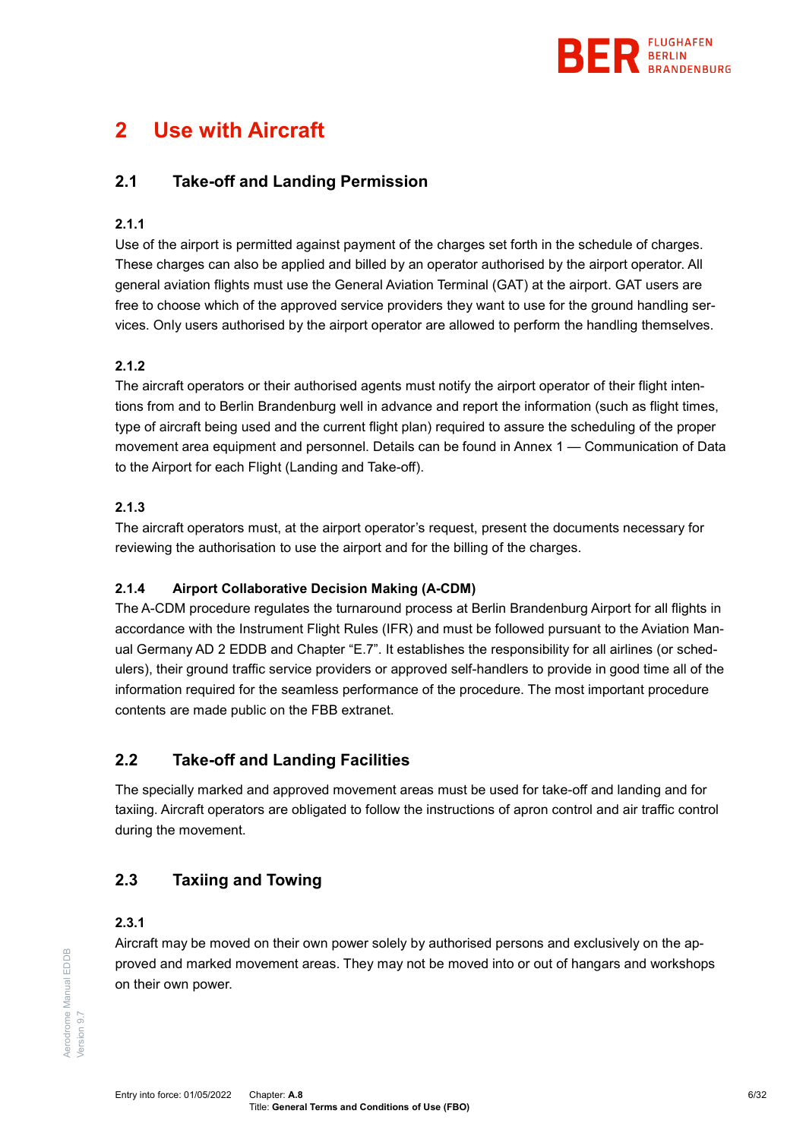

# <span id="page-5-1"></span><span id="page-5-0"></span>**2 Use with Aircraft**

# **2.1 Take-off and Landing Permission**

## **2.1.1**

Use of the airport is permitted against payment of the charges set forth in the schedule of charges. These charges can also be applied and billed by an operator authorised by the airport operator. All general aviation flights must use the General Aviation Terminal (GAT) at the airport. GAT users are free to choose which of the approved service providers they want to use for the ground handling services. Only users authorised by the airport operator are allowed to perform the handling themselves.

## <span id="page-5-4"></span>**2.1.2**

The aircraft operators or their authorised agents must notify the airport operator of their flight intentions from and to Berlin Brandenburg well in advance and report the information (such as flight times, type of aircraft being used and the current flight plan) required to assure the scheduling of the proper movement area equipment and personnel. Details can be found in Annex 1 — [Communication of Data](#page-25-0)  [to the Airport for each Flight \(Landing and Take-off\).](#page-25-0)

#### **2.1.3**

The aircraft operators must, at the airport operator's request, present the documents necessary for reviewing the authorisation to use the airport and for the billing of the charges.

## **2.1.4 Airport Collaborative Decision Making (A-CDM)**

The A-CDM procedure regulates the turnaround process at Berlin Brandenburg Airport for all flights in accordance with the Instrument Flight Rules (IFR) and must be followed pursuant to the Aviation Manual Germany AD 2 EDDB and Chapter "E.7". It establishes the responsibility for all airlines (or schedulers), their ground traffic service providers or approved self-handlers to provide in good time all of the information required for the seamless performance of the procedure. The most important procedure contents are made public on the FBB extranet.

# <span id="page-5-2"></span>**2.2 Take-off and Landing Facilities**

The specially marked and approved movement areas must be used for take-off and landing and for taxiing. Aircraft operators are obligated to follow the instructions of apron control and air traffic control during the movement.

# <span id="page-5-3"></span>**2.3 Taxiing and Towing**

#### **2.3.1**

Aircraft may be moved on their own power solely by authorised persons and exclusively on the approved and marked movement areas. They may not be moved into or out of hangars and workshops on their own power.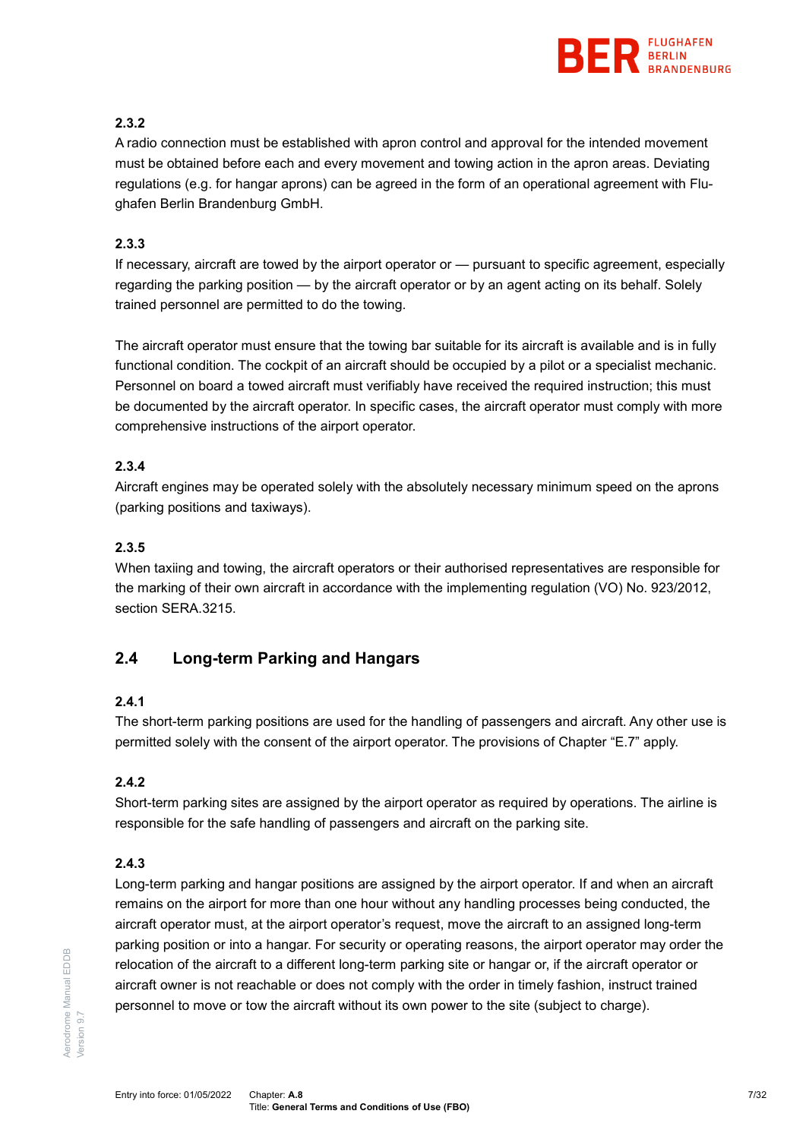

## **2.3.2**

A radio connection must be established with apron control and approval for the intended movement must be obtained before each and every movement and towing action in the apron areas. Deviating regulations (e.g. for hangar aprons) can be agreed in the form of an operational agreement with Flughafen Berlin Brandenburg GmbH.

## **2.3.3**

If necessary, aircraft are towed by the airport operator or — pursuant to specific agreement, especially regarding the parking position — by the aircraft operator or by an agent acting on its behalf. Solely trained personnel are permitted to do the towing.

The aircraft operator must ensure that the towing bar suitable for its aircraft is available and is in fully functional condition. The cockpit of an aircraft should be occupied by a pilot or a specialist mechanic. Personnel on board a towed aircraft must verifiably have received the required instruction; this must be documented by the aircraft operator. In specific cases, the aircraft operator must comply with more comprehensive instructions of the airport operator.

## **2.3.4**

Aircraft engines may be operated solely with the absolutely necessary minimum speed on the aprons (parking positions and taxiways).

# **2.3.5**

When taxiing and towing, the aircraft operators or their authorised representatives are responsible for the marking of their own aircraft in accordance with the implementing regulation (VO) No. 923/2012, section SERA.3215.

# <span id="page-6-0"></span>**2.4 Long-term Parking and Hangars**

## **2.4.1**

The short-term parking positions are used for the handling of passengers and aircraft. Any other use is permitted solely with the consent of the airport operator. The provisions of Chapter "E.7" apply.

## **2.4.2**

Short-term parking sites are assigned by the airport operator as required by operations. The airline is responsible for the safe handling of passengers and aircraft on the parking site.

# **2.4.3**

Long-term parking and hangar positions are assigned by the airport operator. If and when an aircraft remains on the airport for more than one hour without any handling processes being conducted, the aircraft operator must, at the airport operator's request, move the aircraft to an assigned long-term parking position or into a hangar. For security or operating reasons, the airport operator may order the relocation of the aircraft to a different long-term parking site or hangar or, if the aircraft operator or aircraft owner is not reachable or does not comply with the order in timely fashion, instruct trained personnel to move or tow the aircraft without its own power to the site (subject to charge).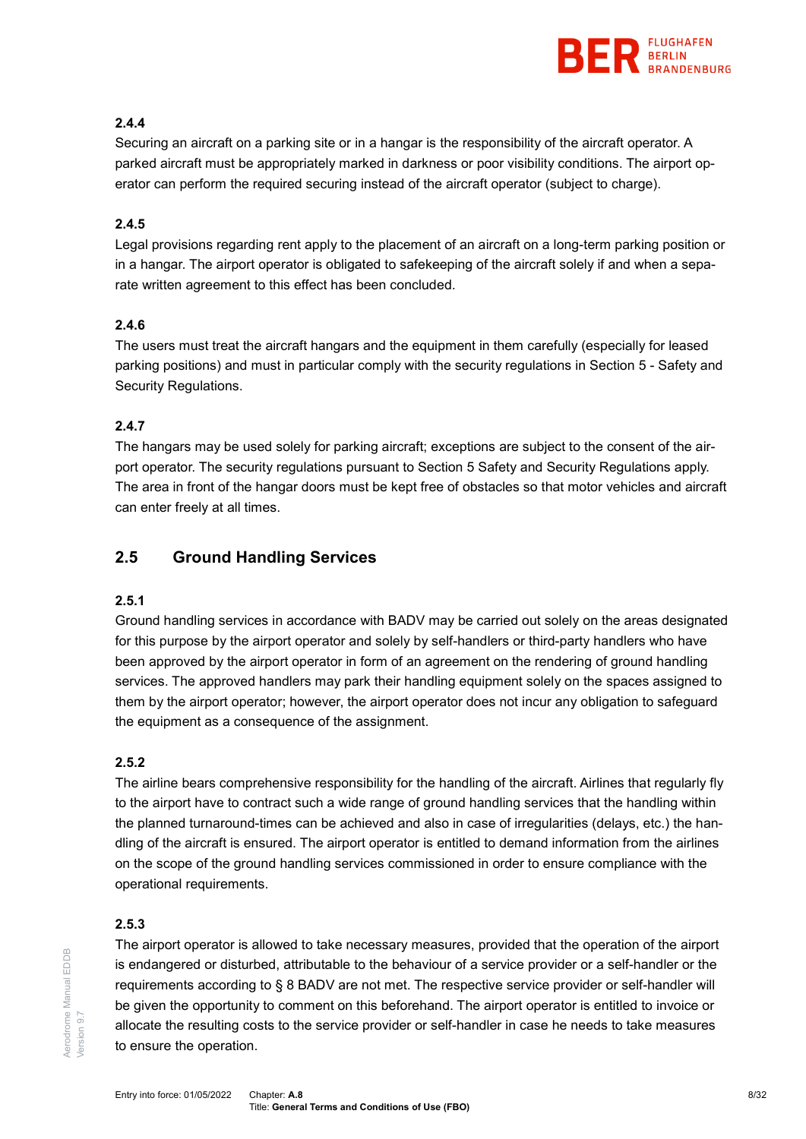

## **2.4.4**

Securing an aircraft on a parking site or in a hangar is the responsibility of the aircraft operator. A parked aircraft must be appropriately marked in darkness or poor visibility conditions. The airport operator can perform the required securing instead of the aircraft operator (subject to charge).

## **2.4.5**

Legal provisions regarding rent apply to the placement of an aircraft on a long-term parking position or in a hangar. The airport operator is obligated to safekeeping of the aircraft solely if and when a separate written agreement to this effect has been concluded.

#### **2.4.6**

The users must treat the aircraft hangars and the equipment in them carefully (especially for leased parking positions) and must in particular comply with the security regulations in Section [5](#page-15-0) - [Safety and](#page-15-0)  [Security Regulations.](#page-15-0)

#### **2.4.7**

The hangars may be used solely for parking aircraft; exceptions are subject to the consent of the airport operator. The security regulations pursuant to Section [5](#page-15-0) [Safety and Security Regulations](#page-15-0) apply. The area in front of the hangar doors must be kept free of obstacles so that motor vehicles and aircraft can enter freely at all times.

# <span id="page-7-0"></span>**2.5 Ground Handling Services**

#### **2.5.1**

Ground handling services in accordance with BADV may be carried out solely on the areas designated for this purpose by the airport operator and solely by self-handlers or third-party handlers who have been approved by the airport operator in form of an agreement on the rendering of ground handling services. The approved handlers may park their handling equipment solely on the spaces assigned to them by the airport operator; however, the airport operator does not incur any obligation to safeguard the equipment as a consequence of the assignment.

#### **2.5.2**

The airline bears comprehensive responsibility for the handling of the aircraft. Airlines that regularly fly to the airport have to contract such a wide range of ground handling services that the handling within the planned turnaround-times can be achieved and also in case of irregularities (delays, etc.) the handling of the aircraft is ensured. The airport operator is entitled to demand information from the airlines on the scope of the ground handling services commissioned in order to ensure compliance with the operational requirements.

#### **2.5.3**

Aerodrome Manual EDDB

**Aerodrome Manual EDDB** 

Version 9.7

/ersion 9.7

The airport operator is allowed to take necessary measures, provided that the operation of the airport is endangered or disturbed, attributable to the behaviour of a service provider or a self-handler or the requirements according to § 8 BADV are not met. The respective service provider or self-handler will be given the opportunity to comment on this beforehand. The airport operator is entitled to invoice or allocate the resulting costs to the service provider or self-handler in case he needs to take measures to ensure the operation.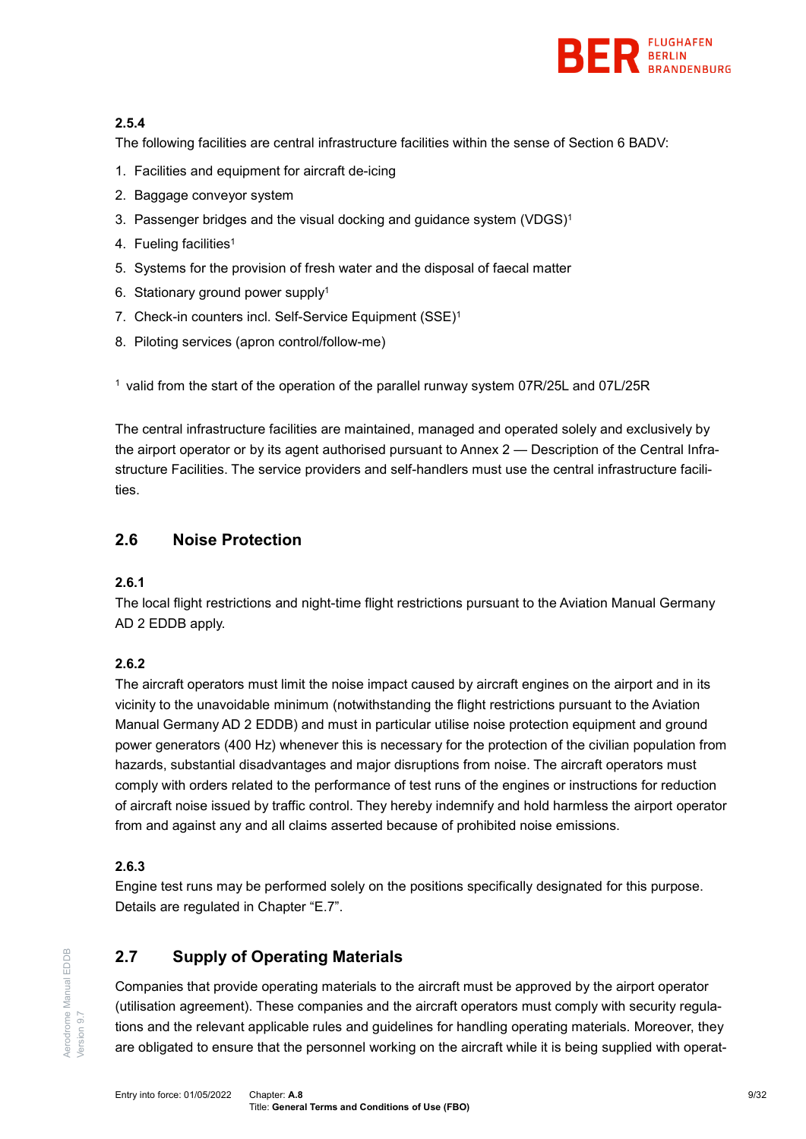

## **2.5.4**

The following facilities are central infrastructure facilities within the sense of Section 6 BADV:

- 1. Facilities and equipment for aircraft de-icing
- 2. Baggage conveyor system
- 3. Passenger bridges and the visual docking and guidance system (VDGS)<sup>1</sup>
- 4. Fueling facilities<sup>1</sup>
- 5. Systems for the provision of fresh water and the disposal of faecal matter
- 6. Stationary ground power supply1
- 7. Check-in counters incl. Self-Service Equipment (SSE)1
- 8. Piloting services (apron control/follow-me)

1 valid from the start of the operation of the parallel runway system 07R/25L and 07L/25R

The central infrastructure facilities are maintained, managed and operated solely and exclusively by the airport operator or by its agent authorised pursuant to Annex 2 — [Description of the Central Infra](#page-27-0)[structure Facilities.](#page-27-0) The service providers and self-handlers must use the central infrastructure facilities.

# <span id="page-8-0"></span>**2.6 Noise Protection**

#### **2.6.1**

The local flight restrictions and night-time flight restrictions pursuant to the Aviation Manual Germany AD 2 EDDB apply.

## **2.6.2**

The aircraft operators must limit the noise impact caused by aircraft engines on the airport and in its vicinity to the unavoidable minimum (notwithstanding the flight restrictions pursuant to the Aviation Manual Germany AD 2 EDDB) and must in particular utilise noise protection equipment and ground power generators (400 Hz) whenever this is necessary for the protection of the civilian population from hazards, substantial disadvantages and major disruptions from noise. The aircraft operators must comply with orders related to the performance of test runs of the engines or instructions for reduction of aircraft noise issued by traffic control. They hereby indemnify and hold harmless the airport operator from and against any and all claims asserted because of prohibited noise emissions.

## **2.6.3**

Engine test runs may be performed solely on the positions specifically designated for this purpose. Details are regulated in Chapter "E.7".

# <span id="page-8-1"></span>**2.7 Supply of Operating Materials**

Companies that provide operating materials to the aircraft must be approved by the airport operator (utilisation agreement). These companies and the aircraft operators must comply with security regulations and the relevant applicable rules and guidelines for handling operating materials. Moreover, they are obligated to ensure that the personnel working on the aircraft while it is being supplied with operat-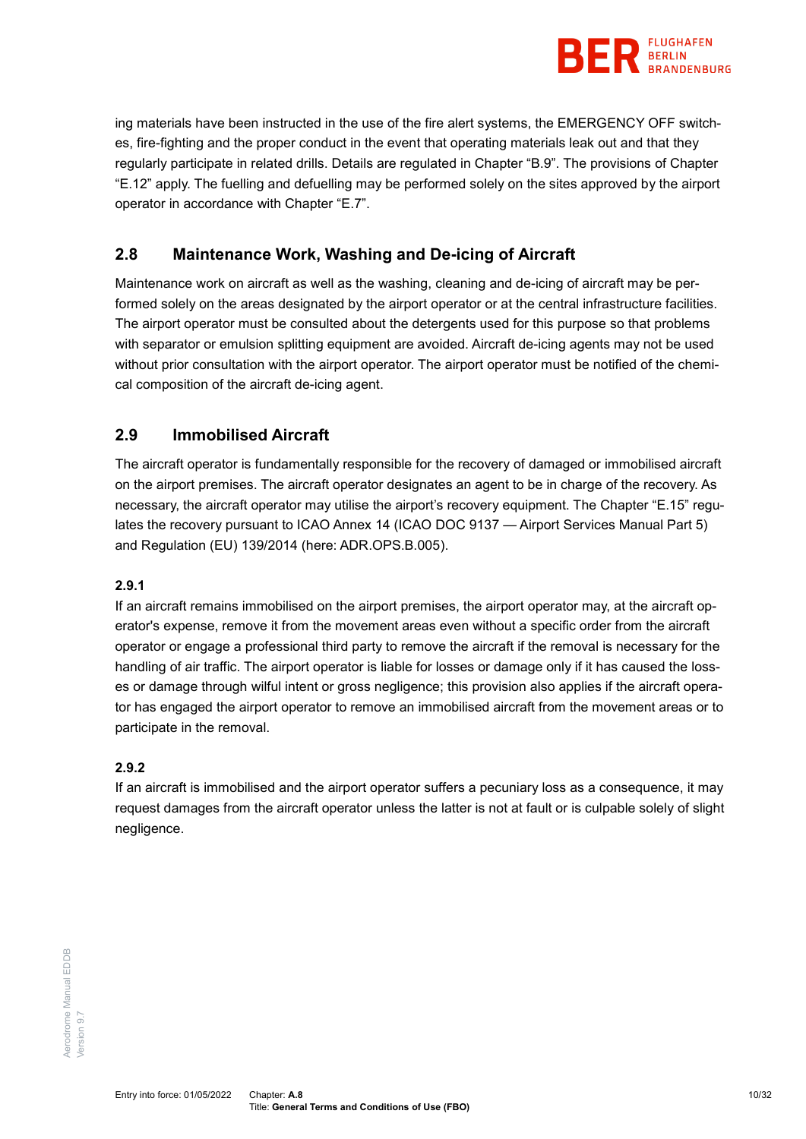

ing materials have been instructed in the use of the fire alert systems, the EMERGENCY OFF switches, fire-fighting and the proper conduct in the event that operating materials leak out and that they regularly participate in related drills. Details are regulated in Chapter "B.9". The provisions of Chapter "E.12" apply. The fuelling and defuelling may be performed solely on the sites approved by the airport operator in accordance with Chapter "E.7".

# <span id="page-9-0"></span>**2.8 Maintenance Work, Washing and De-icing of Aircraft**

Maintenance work on aircraft as well as the washing, cleaning and de-icing of aircraft may be performed solely on the areas designated by the airport operator or at the central infrastructure facilities. The airport operator must be consulted about the detergents used for this purpose so that problems with separator or emulsion splitting equipment are avoided. Aircraft de-icing agents may not be used without prior consultation with the airport operator. The airport operator must be notified of the chemical composition of the aircraft de-icing agent.

# <span id="page-9-1"></span>**2.9 Immobilised Aircraft**

The aircraft operator is fundamentally responsible for the recovery of damaged or immobilised aircraft on the airport premises. The aircraft operator designates an agent to be in charge of the recovery. As necessary, the aircraft operator may utilise the airport's recovery equipment. The Chapter "E.15" regulates the recovery pursuant to ICAO Annex 14 (ICAO DOC 9137 — Airport Services Manual Part 5) and Regulation (EU) 139/2014 (here: ADR.OPS.B.005).

#### **2.9.1**

If an aircraft remains immobilised on the airport premises, the airport operator may, at the aircraft operator's expense, remove it from the movement areas even without a specific order from the aircraft operator or engage a professional third party to remove the aircraft if the removal is necessary for the handling of air traffic. The airport operator is liable for losses or damage only if it has caused the losses or damage through wilful intent or gross negligence; this provision also applies if the aircraft operator has engaged the airport operator to remove an immobilised aircraft from the movement areas or to participate in the removal.

#### **2.9.2**

If an aircraft is immobilised and the airport operator suffers a pecuniary loss as a consequence, it may request damages from the aircraft operator unless the latter is not at fault or is culpable solely of slight negligence.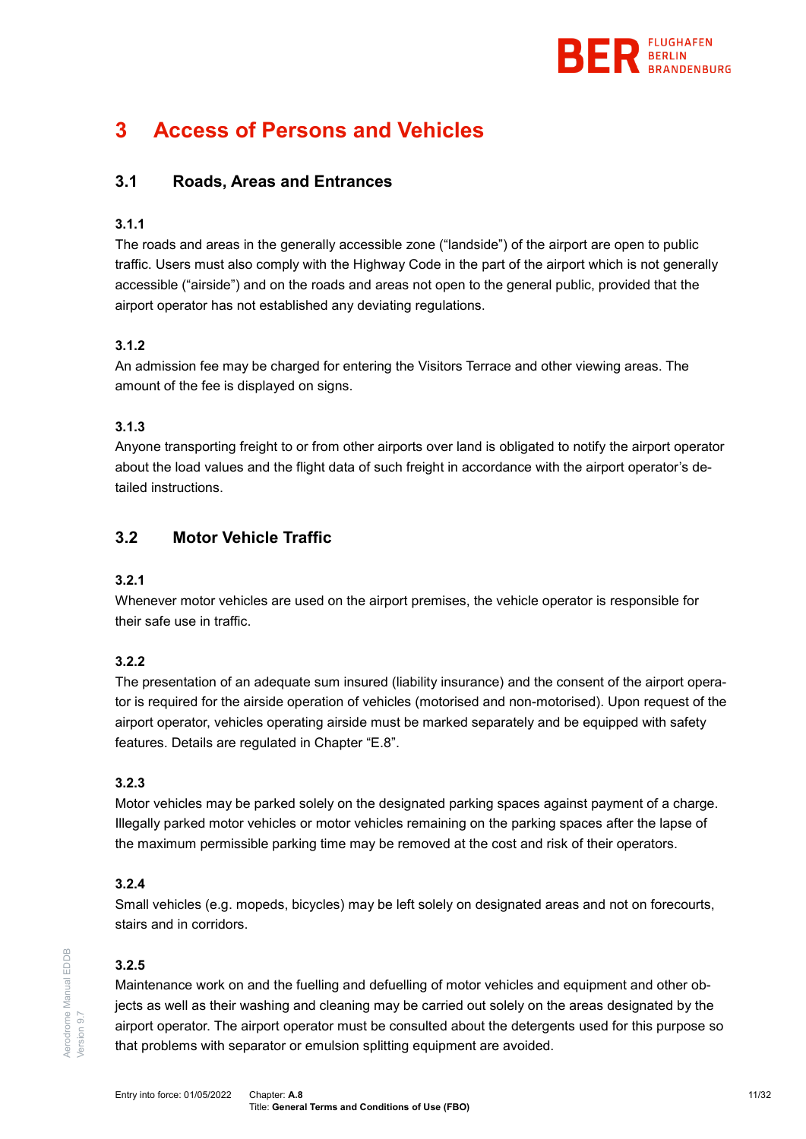

# <span id="page-10-1"></span><span id="page-10-0"></span>**3 Access of Persons and Vehicles**

# **3.1 Roads, Areas and Entrances**

#### <span id="page-10-3"></span>**3.1.1**

The roads and areas in the generally accessible zone ("landside") of the airport are open to public traffic. Users must also comply with the Highway Code in the part of the airport which is not generally accessible ("airside") and on the roads and areas not open to the general public, provided that the airport operator has not established any deviating regulations.

## **3.1.2**

An admission fee may be charged for entering the Visitors Terrace and other viewing areas. The amount of the fee is displayed on signs.

#### **3.1.3**

Anyone transporting freight to or from other airports over land is obligated to notify the airport operator about the load values and the flight data of such freight in accordance with the airport operator's detailed instructions.

# <span id="page-10-2"></span>**3.2 Motor Vehicle Traffic**

#### **3.2.1**

Whenever motor vehicles are used on the airport premises, the vehicle operator is responsible for their safe use in traffic.

## **3.2.2**

The presentation of an adequate sum insured (liability insurance) and the consent of the airport operator is required for the airside operation of vehicles (motorised and non-motorised). Upon request of the airport operator, vehicles operating airside must be marked separately and be equipped with safety features. Details are regulated in Chapter "E.8".

#### **3.2.3**

Motor vehicles may be parked solely on the designated parking spaces against payment of a charge. Illegally parked motor vehicles or motor vehicles remaining on the parking spaces after the lapse of the maximum permissible parking time may be removed at the cost and risk of their operators.

#### **3.2.4**

Small vehicles (e.g. mopeds, bicycles) may be left solely on designated areas and not on forecourts, stairs and in corridors.

## **3.2.5**

Maintenance work on and the fuelling and defuelling of motor vehicles and equipment and other objects as well as their washing and cleaning may be carried out solely on the areas designated by the airport operator. The airport operator must be consulted about the detergents used for this purpose so that problems with separator or emulsion splitting equipment are avoided.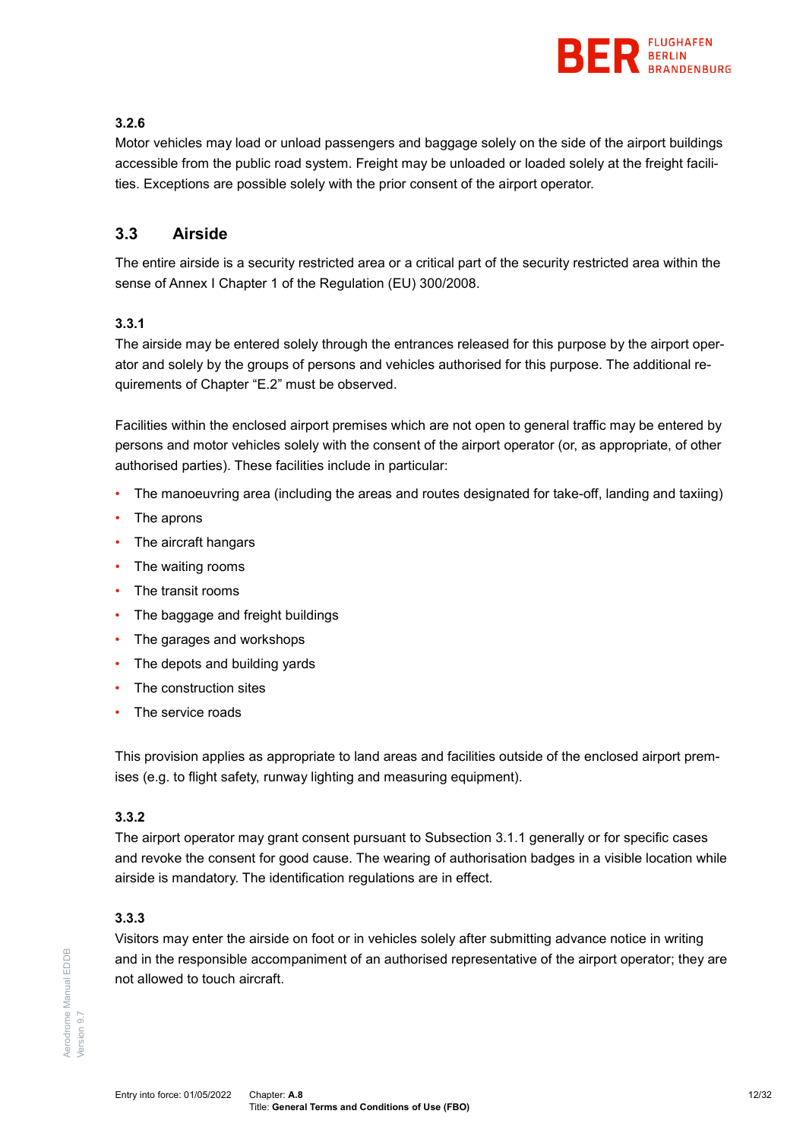

## **3.2.6**

Motor vehicles may load or unload passengers and baggage solely on the side of the airport buildings accessible from the public road system. Freight may be unloaded or loaded solely at the freight facilities. Exceptions are possible solely with the prior consent of the airport operator.

# <span id="page-11-0"></span>**3.3 Airside**

The entire airside is a security restricted area or a critical part of the security restricted area within the sense of Annex I Chapter 1 of the Regulation (EU) 300/2008.

#### **3.3.1**

The airside may be entered solely through the entrances released for this purpose by the airport operator and solely by the groups of persons and vehicles authorised for this purpose. The additional requirements of Chapter "E.2" must be observed.

Facilities within the enclosed airport premises which are not open to general traffic may be entered by persons and motor vehicles solely with the consent of the airport operator (or, as appropriate, of other authorised parties). These facilities include in particular:

- The manoeuvring area (including the areas and routes designated for take-off, landing and taxiing)
- The aprons
- The aircraft hangars
- The waiting rooms
- The transit rooms
- The baggage and freight buildings
- The garages and workshops
- The depots and building yards
- The construction sites
- The service roads

This provision applies as appropriate to land areas and facilities outside of the enclosed airport premises (e.g. to flight safety, runway lighting and measuring equipment).

#### **3.3.2**

The airport operator may grant consent pursuant to Subsection [3.1.1](#page-10-3) generally or for specific cases and revoke the consent for good cause. The wearing of authorisation badges in a visible location while airside is mandatory. The identification regulations are in effect.

## **3.3.3**

Visitors may enter the airside on foot or in vehicles solely after submitting advance notice in writing and in the responsible accompaniment of an authorised representative of the airport operator; they are not allowed to touch aircraft.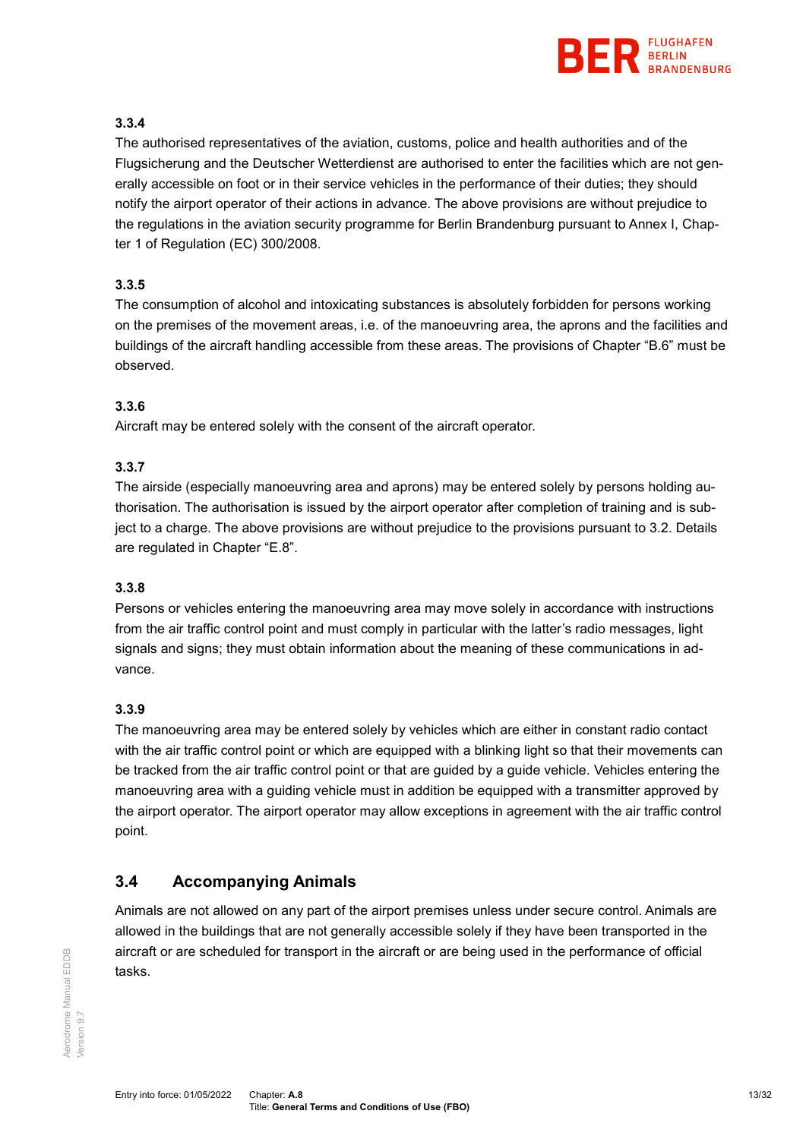

## **3.3.4**

The authorised representatives of the aviation, customs, police and health authorities and of the Flugsicherung and the Deutscher Wetterdienst are authorised to enter the facilities which are not generally accessible on foot or in their service vehicles in the performance of their duties; they should notify the airport operator of their actions in advance. The above provisions are without prejudice to the regulations in the aviation security programme for Berlin Brandenburg pursuant to Annex I, Chapter 1 of Regulation (EC) 300/2008.

## **3.3.5**

The consumption of alcohol and intoxicating substances is absolutely forbidden for persons working on the premises of the movement areas, i.e. of the manoeuvring area, the aprons and the facilities and buildings of the aircraft handling accessible from these areas. The provisions of Chapter "B.6" must be observed.

#### **3.3.6**

Aircraft may be entered solely with the consent of the aircraft operator.

#### **3.3.7**

The airside (especially manoeuvring area and aprons) may be entered solely by persons holding authorisation. The authorisation is issued by the airport operator after completion of training and is subject to a charge. The above provisions are without prejudice to the provisions pursuant to [3.2.](#page-10-2) Details are regulated in Chapter "E.8".

#### **3.3.8**

Persons or vehicles entering the manoeuvring area may move solely in accordance with instructions from the air traffic control point and must comply in particular with the latter's radio messages, light signals and signs; they must obtain information about the meaning of these communications in advance.

## **3.3.9**

The manoeuvring area may be entered solely by vehicles which are either in constant radio contact with the air traffic control point or which are equipped with a blinking light so that their movements can be tracked from the air traffic control point or that are guided by a guide vehicle. Vehicles entering the manoeuvring area with a guiding vehicle must in addition be equipped with a transmitter approved by the airport operator. The airport operator may allow exceptions in agreement with the air traffic control point.

# <span id="page-12-0"></span>**3.4 Accompanying Animals**

Animals are not allowed on any part of the airport premises unless under secure control. Animals are allowed in the buildings that are not generally accessible solely if they have been transported in the aircraft or are scheduled for transport in the aircraft or are being used in the performance of official tasks.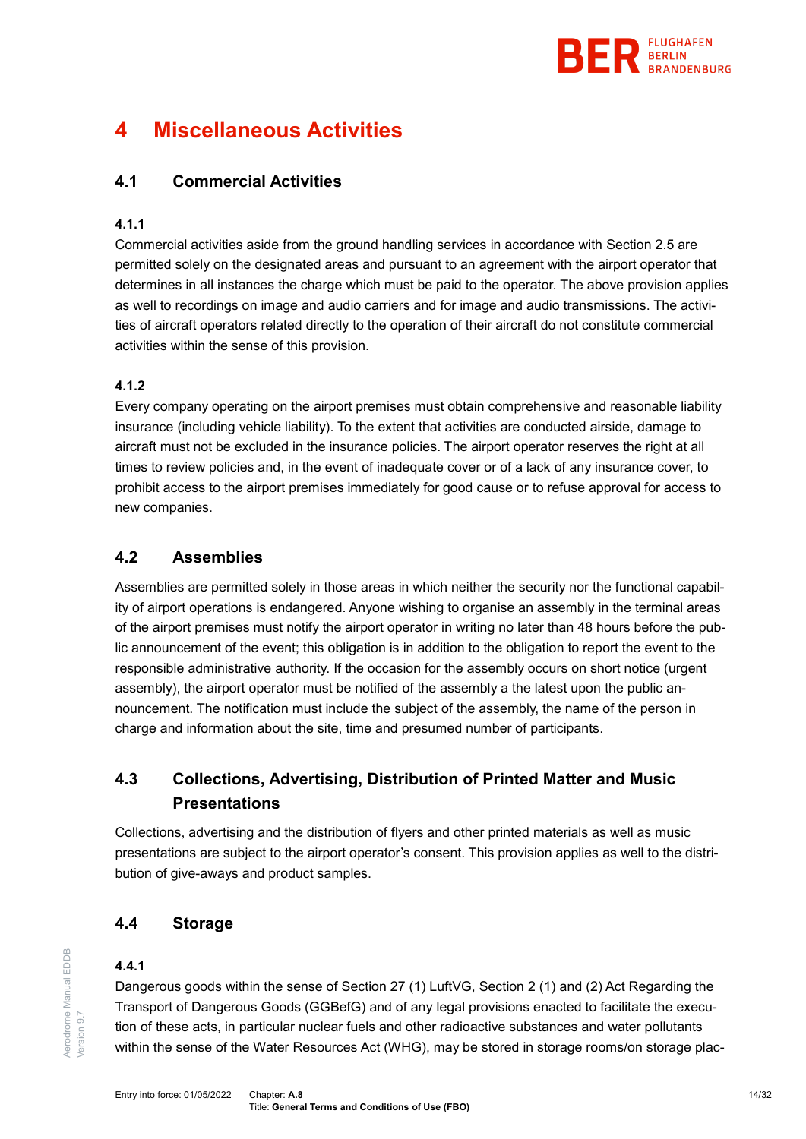

# <span id="page-13-1"></span><span id="page-13-0"></span>**4 Miscellaneous Activities**

# **4.1 Commercial Activities**

#### **4.1.1**

Commercial activities aside from the ground handling services in accordance with Section [2.5](#page-7-0) are permitted solely on the designated areas and pursuant to an agreement with the airport operator that determines in all instances the charge which must be paid to the operator. The above provision applies as well to recordings on image and audio carriers and for image and audio transmissions. The activities of aircraft operators related directly to the operation of their aircraft do not constitute commercial activities within the sense of this provision.

#### **4.1.2**

Every company operating on the airport premises must obtain comprehensive and reasonable liability insurance (including vehicle liability). To the extent that activities are conducted airside, damage to aircraft must not be excluded in the insurance policies. The airport operator reserves the right at all times to review policies and, in the event of inadequate cover or of a lack of any insurance cover, to prohibit access to the airport premises immediately for good cause or to refuse approval for access to new companies.

# <span id="page-13-2"></span>**4.2 Assemblies**

Assemblies are permitted solely in those areas in which neither the security nor the functional capability of airport operations is endangered. Anyone wishing to organise an assembly in the terminal areas of the airport premises must notify the airport operator in writing no later than 48 hours before the public announcement of the event; this obligation is in addition to the obligation to report the event to the responsible administrative authority. If the occasion for the assembly occurs on short notice (urgent assembly), the airport operator must be notified of the assembly a the latest upon the public announcement. The notification must include the subject of the assembly, the name of the person in charge and information about the site, time and presumed number of participants.

# <span id="page-13-3"></span>**4.3 Collections, Advertising, Distribution of Printed Matter and Music Presentations**

Collections, advertising and the distribution of flyers and other printed materials as well as music presentations are subject to the airport operator's consent. This provision applies as well to the distribution of give-aways and product samples.

# <span id="page-13-4"></span>**4.4 Storage**

#### **4.4.1**

Dangerous goods within the sense of Section 27 (1) LuftVG, Section 2 (1) and (2) Act Regarding the Transport of Dangerous Goods (GGBefG) and of any legal provisions enacted to facilitate the execution of these acts, in particular nuclear fuels and other radioactive substances and water pollutants within the sense of the Water Resources Act (WHG), may be stored in storage rooms/on storage plac-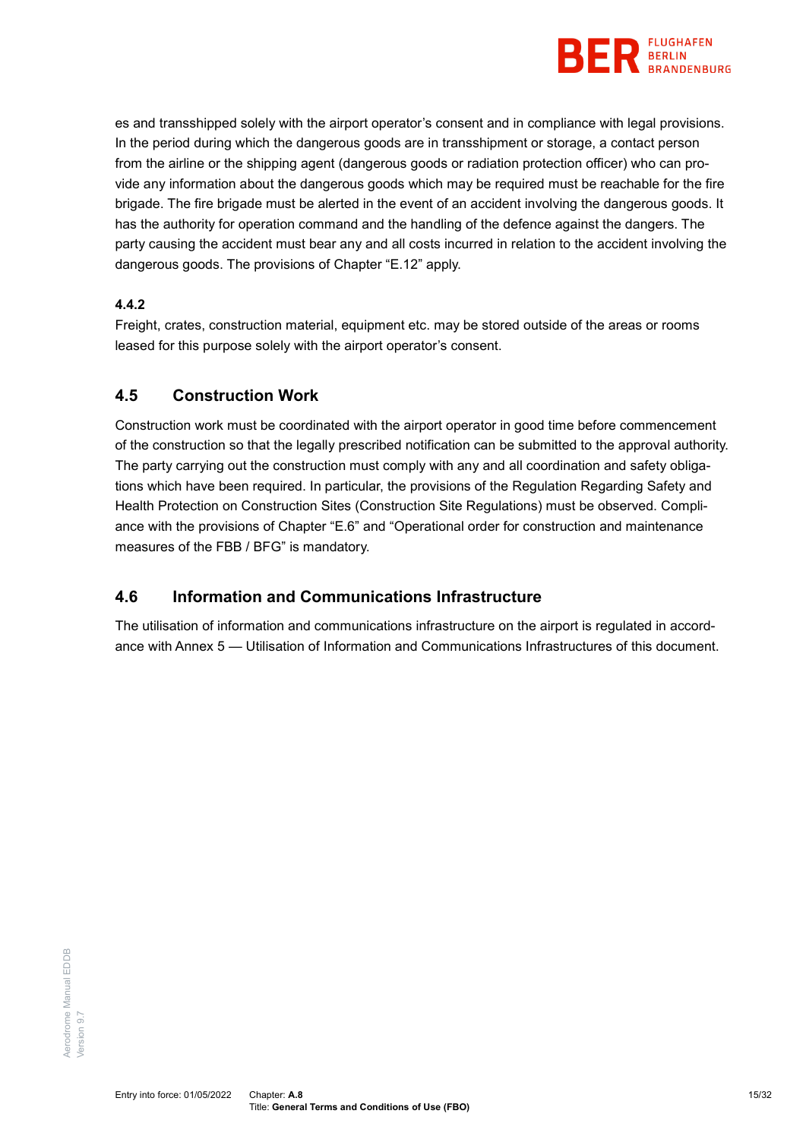

es and transshipped solely with the airport operator's consent and in compliance with legal provisions. In the period during which the dangerous goods are in transshipment or storage, a contact person from the airline or the shipping agent (dangerous goods or radiation protection officer) who can provide any information about the dangerous goods which may be required must be reachable for the fire brigade. The fire brigade must be alerted in the event of an accident involving the dangerous goods. It has the authority for operation command and the handling of the defence against the dangers. The party causing the accident must bear any and all costs incurred in relation to the accident involving the dangerous goods. The provisions of Chapter "E.12" apply.

## **4.4.2**

Freight, crates, construction material, equipment etc. may be stored outside of the areas or rooms leased for this purpose solely with the airport operator's consent.

# <span id="page-14-0"></span>**4.5 Construction Work**

Construction work must be coordinated with the airport operator in good time before commencement of the construction so that the legally prescribed notification can be submitted to the approval authority. The party carrying out the construction must comply with any and all coordination and safety obligations which have been required. In particular, the provisions of the Regulation Regarding Safety and Health Protection on Construction Sites (Construction Site Regulations) must be observed. Compliance with the provisions of Chapter "E.6" and "Operational order for construction and maintenance measures of the FBB / BFG" is mandatory.

# <span id="page-14-1"></span>**4.6 Information and Communications Infrastructure**

The utilisation of information and communications infrastructure on the airport is regulated in accordance with Annex 5 — [Utilisation of Information and Communications Infrastructures](#page-30-0) of this document.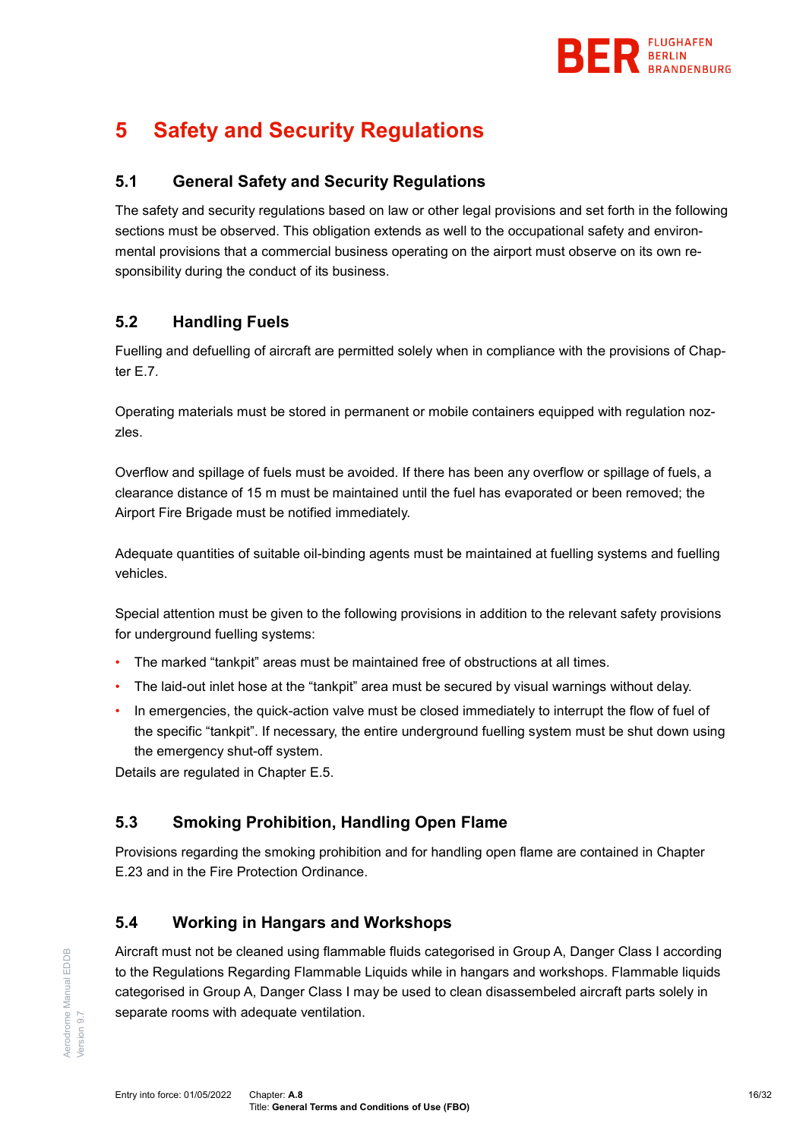

# <span id="page-15-1"></span><span id="page-15-0"></span>**5 Safety and Security Regulations**

# **5.1 General Safety and Security Regulations**

The safety and security regulations based on law or other legal provisions and set forth in the following sections must be observed. This obligation extends as well to the occupational safety and environmental provisions that a commercial business operating on the airport must observe on its own responsibility during the conduct of its business.

# <span id="page-15-2"></span>**5.2 Handling Fuels**

Fuelling and defuelling of aircraft are permitted solely when in compliance with the provisions of Chapter E.7.

Operating materials must be stored in permanent or mobile containers equipped with regulation nozzles.

Overflow and spillage of fuels must be avoided. If there has been any overflow or spillage of fuels, a clearance distance of 15 m must be maintained until the fuel has evaporated or been removed; the Airport Fire Brigade must be notified immediately.

Adequate quantities of suitable oil-binding agents must be maintained at fuelling systems and fuelling vehicles.

Special attention must be given to the following provisions in addition to the relevant safety provisions for underground fuelling systems:

- The marked "tankpit" areas must be maintained free of obstructions at all times.
- The laid-out inlet hose at the "tankpit" area must be secured by visual warnings without delay.
- In emergencies, the quick-action valve must be closed immediately to interrupt the flow of fuel of the specific "tankpit". If necessary, the entire underground fuelling system must be shut down using the emergency shut-off system.

<span id="page-15-3"></span>Details are regulated in Chapter E.5.

# **5.3 Smoking Prohibition, Handling Open Flame**

Provisions regarding the smoking prohibition and for handling open flame are contained in Chapter E.23 and in the Fire Protection Ordinance.

# <span id="page-15-4"></span>**5.4 Working in Hangars and Workshops**

Aircraft must not be cleaned using flammable fluids categorised in Group A, Danger Class I according to the Regulations Regarding Flammable Liquids while in hangars and workshops. Flammable liquids categorised in Group A, Danger Class I may be used to clean disassembeled aircraft parts solely in separate rooms with adequate ventilation.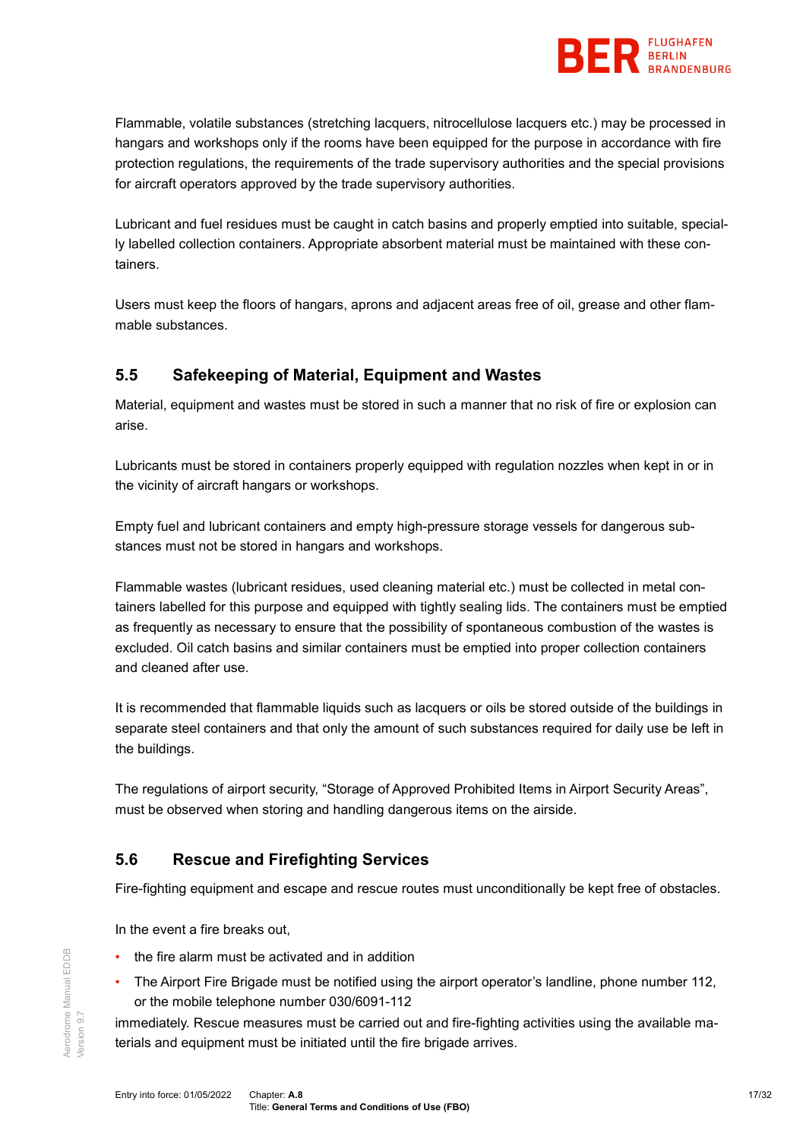

Flammable, volatile substances (stretching lacquers, nitrocellulose lacquers etc.) may be processed in hangars and workshops only if the rooms have been equipped for the purpose in accordance with fire protection regulations, the requirements of the trade supervisory authorities and the special provisions for aircraft operators approved by the trade supervisory authorities.

Lubricant and fuel residues must be caught in catch basins and properly emptied into suitable, specially labelled collection containers. Appropriate absorbent material must be maintained with these containers.

Users must keep the floors of hangars, aprons and adjacent areas free of oil, grease and other flammable substances.

# <span id="page-16-0"></span>**5.5 Safekeeping of Material, Equipment and Wastes**

Material, equipment and wastes must be stored in such a manner that no risk of fire or explosion can arise.

Lubricants must be stored in containers properly equipped with regulation nozzles when kept in or in the vicinity of aircraft hangars or workshops.

Empty fuel and lubricant containers and empty high-pressure storage vessels for dangerous substances must not be stored in hangars and workshops.

Flammable wastes (lubricant residues, used cleaning material etc.) must be collected in metal containers labelled for this purpose and equipped with tightly sealing lids. The containers must be emptied as frequently as necessary to ensure that the possibility of spontaneous combustion of the wastes is excluded. Oil catch basins and similar containers must be emptied into proper collection containers and cleaned after use.

It is recommended that flammable liquids such as lacquers or oils be stored outside of the buildings in separate steel containers and that only the amount of such substances required for daily use be left in the buildings.

The regulations of airport security, "Storage of Approved Prohibited Items in Airport Security Areas", must be observed when storing and handling dangerous items on the airside.

# <span id="page-16-1"></span>**5.6 Rescue and Firefighting Services**

Fire-fighting equipment and escape and rescue routes must unconditionally be kept free of obstacles.

In the event a fire breaks out,

- the fire alarm must be activated and in addition
- The Airport Fire Brigade must be notified using the airport operator's landline, phone number 112, or the mobile telephone number 030/6091-112

immediately. Rescue measures must be carried out and fire-fighting activities using the available materials and equipment must be initiated until the fire brigade arrives.

Aerodrome Manual EDDB

Aerodrome Manual EDDB

Version 9.7

/ersion 9.7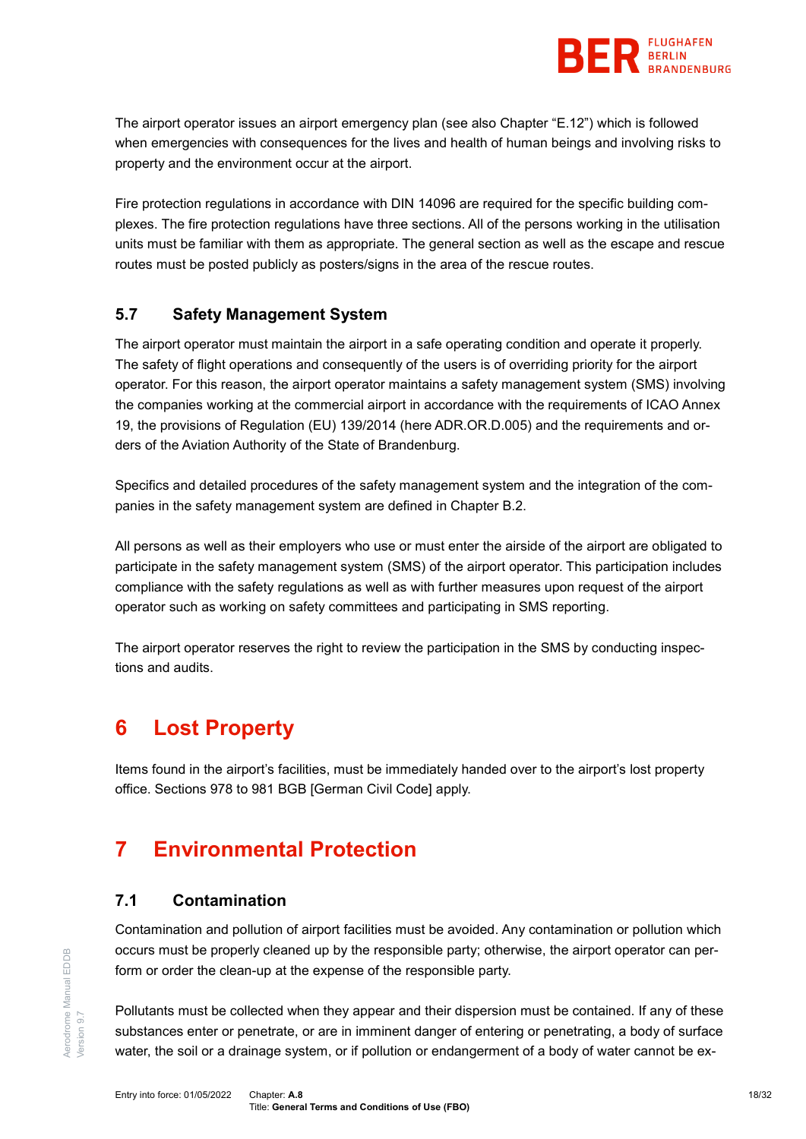

The airport operator issues an airport emergency plan (see also Chapter "E.12") which is followed when emergencies with consequences for the lives and health of human beings and involving risks to property and the environment occur at the airport.

Fire protection regulations in accordance with DIN 14096 are required for the specific building complexes. The fire protection regulations have three sections. All of the persons working in the utilisation units must be familiar with them as appropriate. The general section as well as the escape and rescue routes must be posted publicly as posters/signs in the area of the rescue routes.

# <span id="page-17-0"></span>**5.7 Safety Management System**

The airport operator must maintain the airport in a safe operating condition and operate it properly. The safety of flight operations and consequently of the users is of overriding priority for the airport operator. For this reason, the airport operator maintains a safety management system (SMS) involving the companies working at the commercial airport in accordance with the requirements of ICAO Annex 19, the provisions of Regulation (EU) 139/2014 (here ADR.OR.D.005) and the requirements and orders of the Aviation Authority of the State of Brandenburg.

Specifics and detailed procedures of the safety management system and the integration of the companies in the safety management system are defined in Chapter B.2.

All persons as well as their employers who use or must enter the airside of the airport are obligated to participate in the safety management system (SMS) of the airport operator. This participation includes compliance with the safety regulations as well as with further measures upon request of the airport operator such as working on safety committees and participating in SMS reporting.

The airport operator reserves the right to review the participation in the SMS by conducting inspections and audits.

# <span id="page-17-1"></span>**6 Lost Property**

Items found in the airport's facilities, must be immediately handed over to the airport's lost property office. Sections 978 to 981 BGB [German Civil Code] apply.

# <span id="page-17-3"></span><span id="page-17-2"></span>**7 Environmental Protection**

# **7.1 Contamination**

Contamination and pollution of airport facilities must be avoided. Any contamination or pollution which occurs must be properly cleaned up by the responsible party; otherwise, the airport operator can perform or order the clean-up at the expense of the responsible party.

Pollutants must be collected when they appear and their dispersion must be contained. If any of these substances enter or penetrate, or are in imminent danger of entering or penetrating, a body of surface water, the soil or a drainage system, or if pollution or endangerment of a body of water cannot be ex-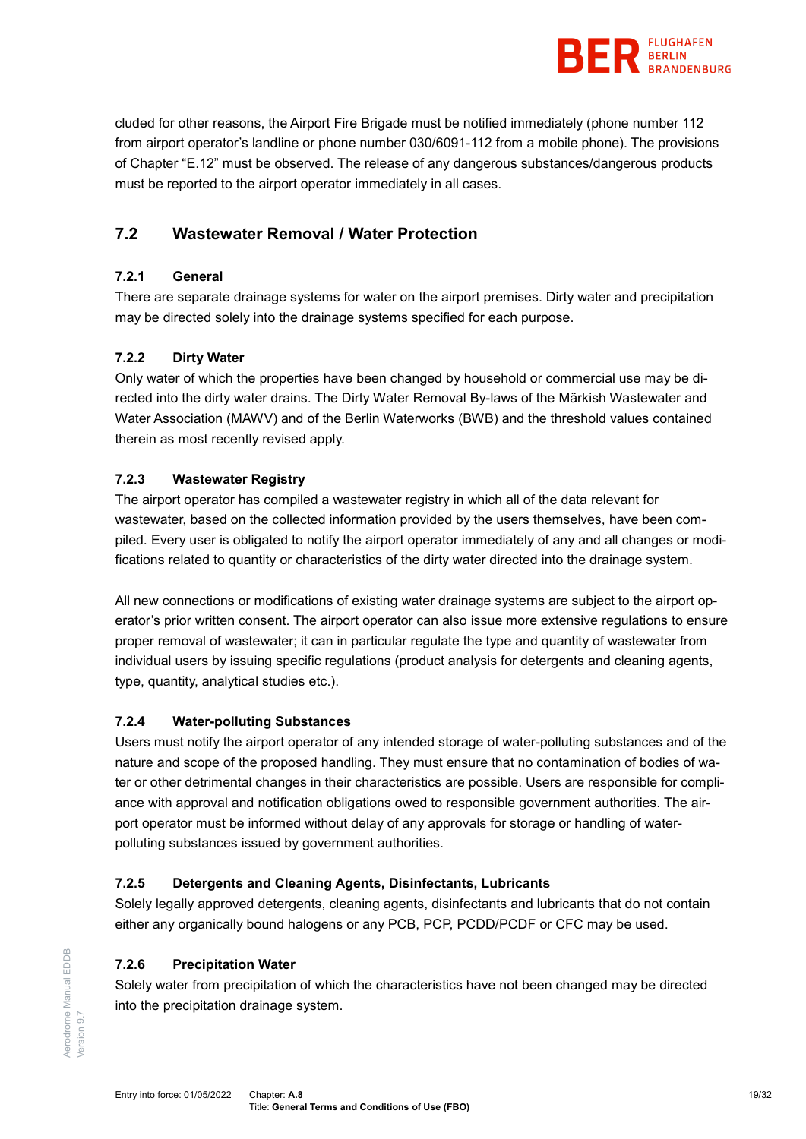

cluded for other reasons, the Airport Fire Brigade must be notified immediately (phone number 112 from airport operator's landline or phone number 030/6091-112 from a mobile phone). The provisions of Chapter "E.12" must be observed. The release of any dangerous substances/dangerous products must be reported to the airport operator immediately in all cases.

# <span id="page-18-0"></span>**7.2 Wastewater Removal / Water Protection**

## **7.2.1 General**

There are separate drainage systems for water on the airport premises. Dirty water and precipitation may be directed solely into the drainage systems specified for each purpose.

## **7.2.2 Dirty Water**

Only water of which the properties have been changed by household or commercial use may be directed into the dirty water drains. The Dirty Water Removal By-laws of the Märkish Wastewater and Water Association (MAWV) and of the Berlin Waterworks (BWB) and the threshold values contained therein as most recently revised apply.

## **7.2.3 Wastewater Registry**

The airport operator has compiled a wastewater registry in which all of the data relevant for wastewater, based on the collected information provided by the users themselves, have been compiled. Every user is obligated to notify the airport operator immediately of any and all changes or modifications related to quantity or characteristics of the dirty water directed into the drainage system.

All new connections or modifications of existing water drainage systems are subject to the airport operator's prior written consent. The airport operator can also issue more extensive regulations to ensure proper removal of wastewater; it can in particular regulate the type and quantity of wastewater from individual users by issuing specific regulations (product analysis for detergents and cleaning agents, type, quantity, analytical studies etc.).

## **7.2.4 Water-polluting Substances**

Users must notify the airport operator of any intended storage of water-polluting substances and of the nature and scope of the proposed handling. They must ensure that no contamination of bodies of water or other detrimental changes in their characteristics are possible. Users are responsible for compliance with approval and notification obligations owed to responsible government authorities. The airport operator must be informed without delay of any approvals for storage or handling of waterpolluting substances issued by government authorities.

## **7.2.5 Detergents and Cleaning Agents, Disinfectants, Lubricants**

Solely legally approved detergents, cleaning agents, disinfectants and lubricants that do not contain either any organically bound halogens or any PCB, PCP, PCDD/PCDF or CFC may be used.

## **7.2.6 Precipitation Water**

Solely water from precipitation of which the characteristics have not been changed may be directed into the precipitation drainage system.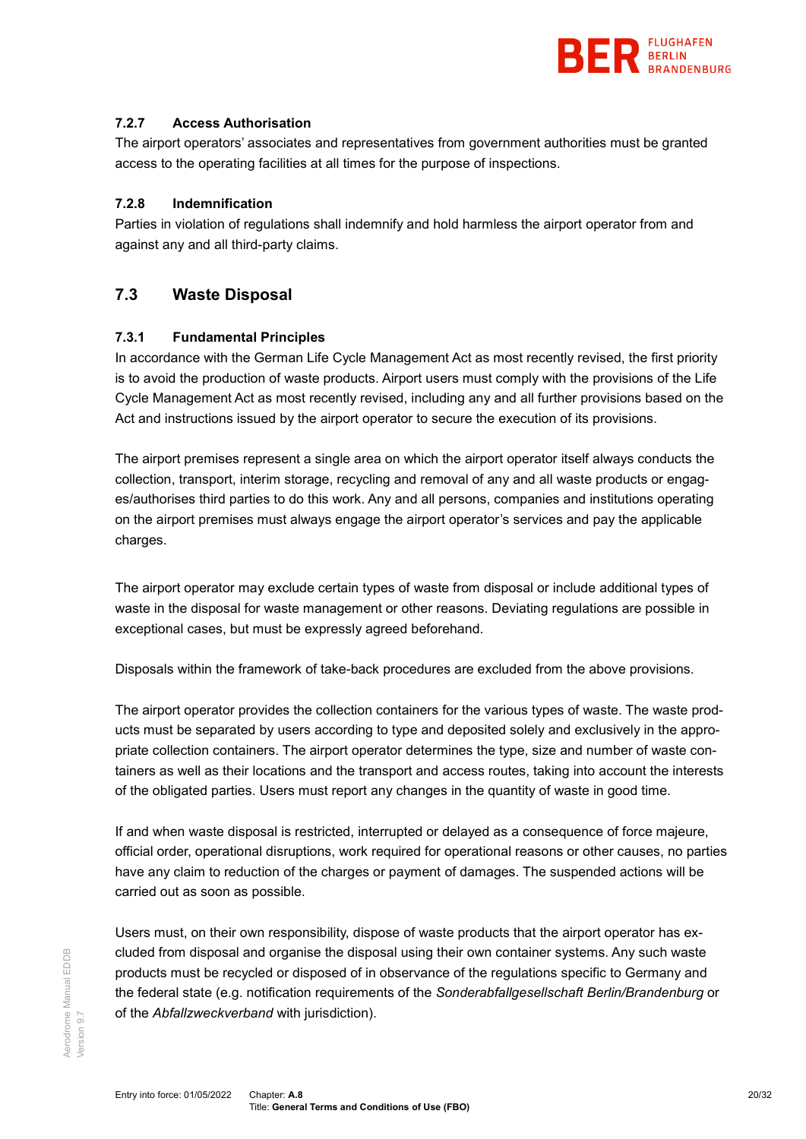

#### **7.2.7 Access Authorisation**

The airport operators' associates and representatives from government authorities must be granted access to the operating facilities at all times for the purpose of inspections.

#### **7.2.8 Indemnification**

Parties in violation of regulations shall indemnify and hold harmless the airport operator from and against any and all third-party claims.

# <span id="page-19-0"></span>**7.3 Waste Disposal**

## **7.3.1 Fundamental Principles**

In accordance with the German Life Cycle Management Act as most recently revised, the first priority is to avoid the production of waste products. Airport users must comply with the provisions of the Life Cycle Management Act as most recently revised, including any and all further provisions based on the Act and instructions issued by the airport operator to secure the execution of its provisions.

The airport premises represent a single area on which the airport operator itself always conducts the collection, transport, interim storage, recycling and removal of any and all waste products or engages/authorises third parties to do this work. Any and all persons, companies and institutions operating on the airport premises must always engage the airport operator's services and pay the applicable charges.

The airport operator may exclude certain types of waste from disposal or include additional types of waste in the disposal for waste management or other reasons. Deviating regulations are possible in exceptional cases, but must be expressly agreed beforehand.

Disposals within the framework of take-back procedures are excluded from the above provisions.

The airport operator provides the collection containers for the various types of waste. The waste products must be separated by users according to type and deposited solely and exclusively in the appropriate collection containers. The airport operator determines the type, size and number of waste containers as well as their locations and the transport and access routes, taking into account the interests of the obligated parties. Users must report any changes in the quantity of waste in good time.

If and when waste disposal is restricted, interrupted or delayed as a consequence of force majeure, official order, operational disruptions, work required for operational reasons or other causes, no parties have any claim to reduction of the charges or payment of damages. The suspended actions will be carried out as soon as possible.

Users must, on their own responsibility, dispose of waste products that the airport operator has excluded from disposal and organise the disposal using their own container systems. Any such waste products must be recycled or disposed of in observance of the regulations specific to Germany and the federal state (e.g. notification requirements of the *Sonderabfallgesellschaft Berlin/Brandenburg* or of the *Abfallzweckverband* with jurisdiction).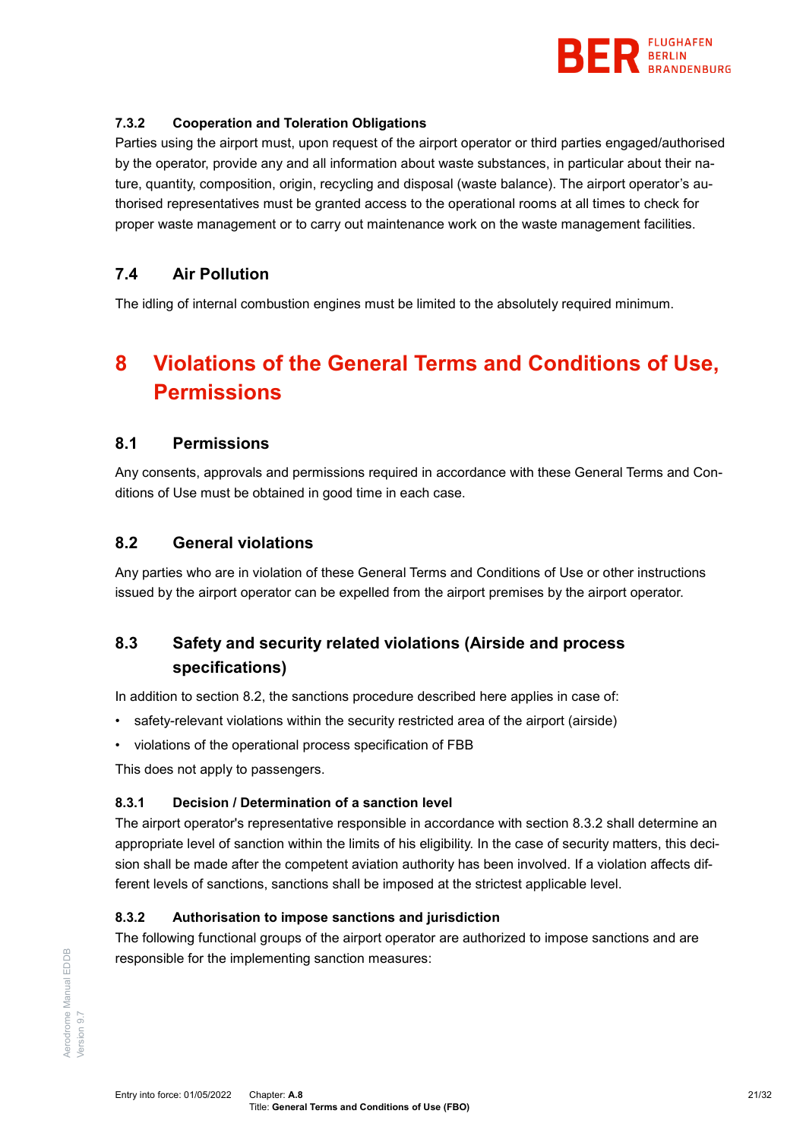

#### **7.3.2 Cooperation and Toleration Obligations**

Parties using the airport must, upon request of the airport operator or third parties engaged/authorised by the operator, provide any and all information about waste substances, in particular about their nature, quantity, composition, origin, recycling and disposal (waste balance). The airport operator's authorised representatives must be granted access to the operational rooms at all times to check for proper waste management or to carry out maintenance work on the waste management facilities.

# <span id="page-20-0"></span>**7.4 Air Pollution**

<span id="page-20-1"></span>The idling of internal combustion engines must be limited to the absolutely required minimum.

# **8 Violations of the General Terms and Conditions of Use, Permissions**

## <span id="page-20-2"></span>**8.1 Permissions**

Any consents, approvals and permissions required in accordance with these General Terms and Conditions of Use must be obtained in good time in each case.

# <span id="page-20-3"></span>**8.2 General violations**

Any parties who are in violation of these General Terms and Conditions of Use or other instructions issued by the airport operator can be expelled from the airport premises by the airport operator.

# <span id="page-20-4"></span>**8.3 Safety and security related violations (Airside and process specifications)**

In addition to section 8.2, the sanctions procedure described here applies in case of:

- safety-relevant violations within the security restricted area of the airport (airside)
- violations of the operational process specification of FBB

This does not apply to passengers.

#### <span id="page-20-6"></span>**8.3.1 Decision / Determination of a sanction level**

The airport operator's representative responsible in accordance with section [8.3.2](#page-20-5) shall determine an appropriate level of sanction within the limits of his eligibility. In the case of security matters, this decision shall be made after the competent aviation authority has been involved. If a violation affects different levels of sanctions, sanctions shall be imposed at the strictest applicable level.

#### <span id="page-20-5"></span>**8.3.2 Authorisation to impose sanctions and jurisdiction**

The following functional groups of the airport operator are authorized to impose sanctions and are responsible for the implementing sanction measures: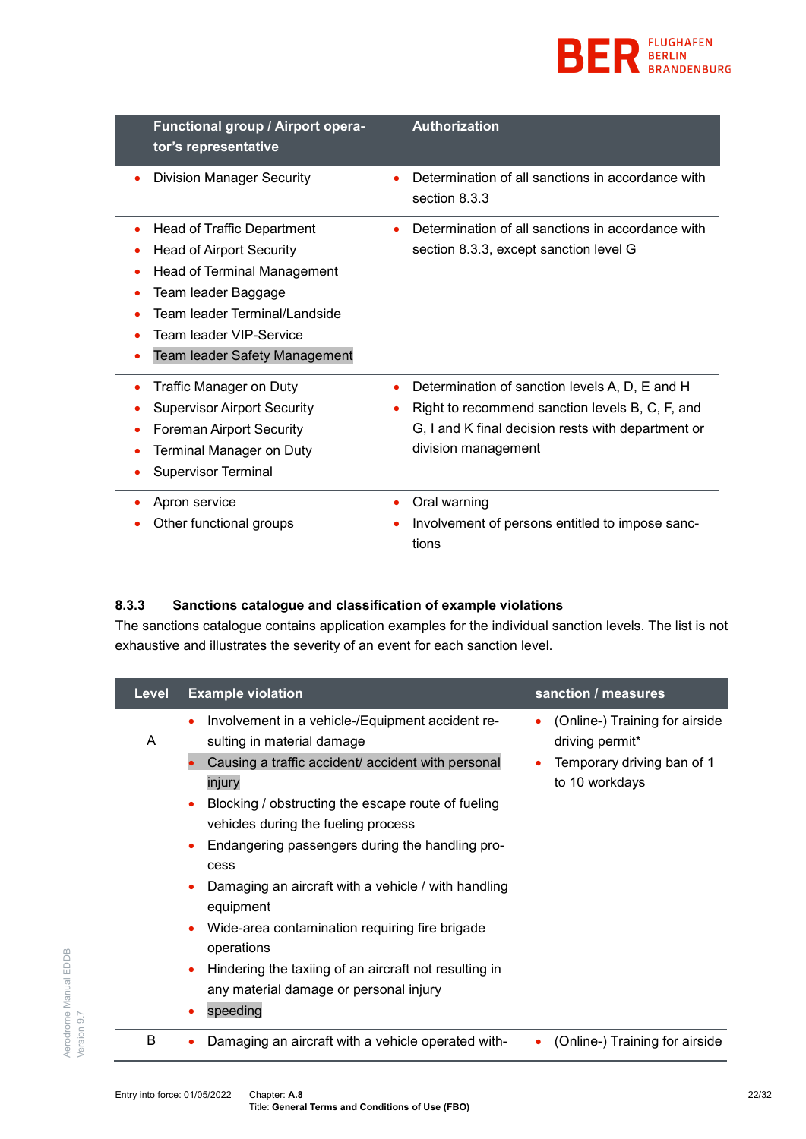

| Functional group / Airport opera-<br>tor's representative                                                                                                                                                                    | <b>Authorization</b>                                                                                                                                                           |
|------------------------------------------------------------------------------------------------------------------------------------------------------------------------------------------------------------------------------|--------------------------------------------------------------------------------------------------------------------------------------------------------------------------------|
| <b>Division Manager Security</b>                                                                                                                                                                                             | Determination of all sanctions in accordance with<br>section 8.3.3                                                                                                             |
| Head of Traffic Department<br><b>Head of Airport Security</b><br><b>Head of Terminal Management</b><br>٠<br>Team leader Baggage<br>Team leader Terminal/Landside<br>Team leader VIP-Service<br>Team leader Safety Management | Determination of all sanctions in accordance with<br>section 8.3.3, except sanction level G                                                                                    |
| Traffic Manager on Duty<br>٠<br><b>Supervisor Airport Security</b><br><b>Foreman Airport Security</b><br>٠<br><b>Terminal Manager on Duty</b><br><b>Supervisor Terminal</b>                                                  | Determination of sanction levels A, D, E and H<br>Right to recommend sanction levels B, C, F, and<br>G, I and K final decision rests with department or<br>division management |
| Apron service<br>۰<br>Other functional groups                                                                                                                                                                                | Oral warning<br>٠<br>Involvement of persons entitled to impose sanc-<br>tions                                                                                                  |

## **8.3.3 Sanctions catalogue and classification of example violations**

The sanctions catalogue contains application examples for the individual sanction levels. The list is not exhaustive and illustrates the severity of an event for each sanction level.

| <b>Level</b> | <b>Example violation</b>                                                                                           | sanction / measures                                    |
|--------------|--------------------------------------------------------------------------------------------------------------------|--------------------------------------------------------|
| A            | Involvement in a vehicle-/Equipment accident re-<br>٠<br>sulting in material damage                                | (Online-) Training for airside<br>٠<br>driving permit* |
|              | Causing a traffic accident/ accident with personal<br>injury<br>Blocking / obstructing the escape route of fueling | Temporary driving ban of 1<br>to 10 workdays           |
|              | vehicles during the fueling process                                                                                |                                                        |
|              | Endangering passengers during the handling pro-<br>٠<br>cess                                                       |                                                        |
|              | Damaging an aircraft with a vehicle / with handling<br>equipment                                                   |                                                        |
|              | Wide-area contamination requiring fire brigade<br>operations                                                       |                                                        |
|              | Hindering the taxiing of an aircraft not resulting in<br>$\bullet$<br>any material damage or personal injury       |                                                        |
|              | speeding                                                                                                           |                                                        |
| B            | Damaging an aircraft with a vehicle operated with-                                                                 | (Online-) Training for airside                         |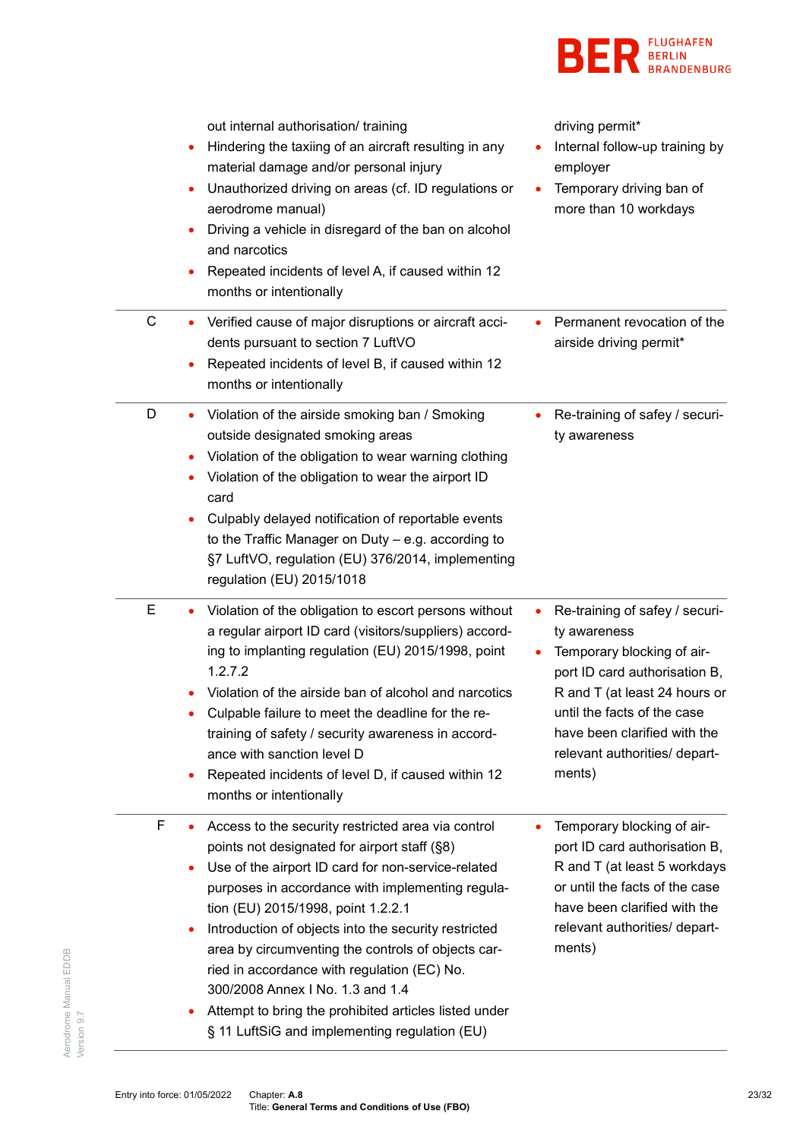

|   | out internal authorisation/ training<br>Hindering the taxiing of an aircraft resulting in any<br>٠<br>material damage and/or personal injury<br>Unauthorized driving on areas (cf. ID regulations or<br>$\bullet$<br>aerodrome manual)<br>Driving a vehicle in disregard of the ban on alcohol<br>and narcotics<br>Repeated incidents of level A, if caused within 12<br>months or intentionally                                                                                                                                                                                | driving permit*<br>Internal follow-up training by<br>employer<br>Temporary driving ban of<br>more than 10 workdays                                                                                                                                            |
|---|---------------------------------------------------------------------------------------------------------------------------------------------------------------------------------------------------------------------------------------------------------------------------------------------------------------------------------------------------------------------------------------------------------------------------------------------------------------------------------------------------------------------------------------------------------------------------------|---------------------------------------------------------------------------------------------------------------------------------------------------------------------------------------------------------------------------------------------------------------|
| C | Verified cause of major disruptions or aircraft acci-<br>$\bullet$<br>dents pursuant to section 7 LuftVO<br>Repeated incidents of level B, if caused within 12<br>months or intentionally                                                                                                                                                                                                                                                                                                                                                                                       | Permanent revocation of the<br>airside driving permit*                                                                                                                                                                                                        |
| D | Violation of the airside smoking ban / Smoking<br>outside designated smoking areas<br>Violation of the obligation to wear warning clothing<br>٠<br>Violation of the obligation to wear the airport ID<br>card<br>Culpably delayed notification of reportable events<br>to the Traffic Manager on Duty - e.g. according to<br>§7 LuftVO, regulation (EU) 376/2014, implementing<br>regulation (EU) 2015/1018                                                                                                                                                                     | Re-training of safey / securi-<br>ty awareness                                                                                                                                                                                                                |
| Е | Violation of the obligation to escort persons without<br>a regular airport ID card (visitors/suppliers) accord-<br>ing to implanting regulation (EU) 2015/1998, point<br>1.2.7.2<br>Violation of the airside ban of alcohol and narcotics<br>Culpable failure to meet the deadline for the re-<br>training of safety / security awareness in accord-<br>ance with sanction level D<br>Repeated incidents of level D, if caused within 12<br>$\bullet$<br>months or intentionally                                                                                                | Re-training of safey / securi-<br>٠<br>ty awareness<br>Temporary blocking of air-<br>port ID card authorisation B,<br>R and T (at least 24 hours or<br>until the facts of the case<br>have been clarified with the<br>relevant authorities/ depart-<br>ments) |
| F | Access to the security restricted area via control<br>points not designated for airport staff (§8)<br>Use of the airport ID card for non-service-related<br>٠<br>purposes in accordance with implementing regula-<br>tion (EU) 2015/1998, point 1.2.2.1<br>Introduction of objects into the security restricted<br>$\bullet$<br>area by circumventing the controls of objects car-<br>ried in accordance with regulation (EC) No.<br>300/2008 Annex I No. 1.3 and 1.4<br>Attempt to bring the prohibited articles listed under<br>§ 11 LuftSiG and implementing regulation (EU) | Temporary blocking of air-<br>port ID card authorisation B,<br>R and T (at least 5 workdays<br>or until the facts of the case<br>have been clarified with the<br>relevant authorities/ depart-<br>ments)                                                      |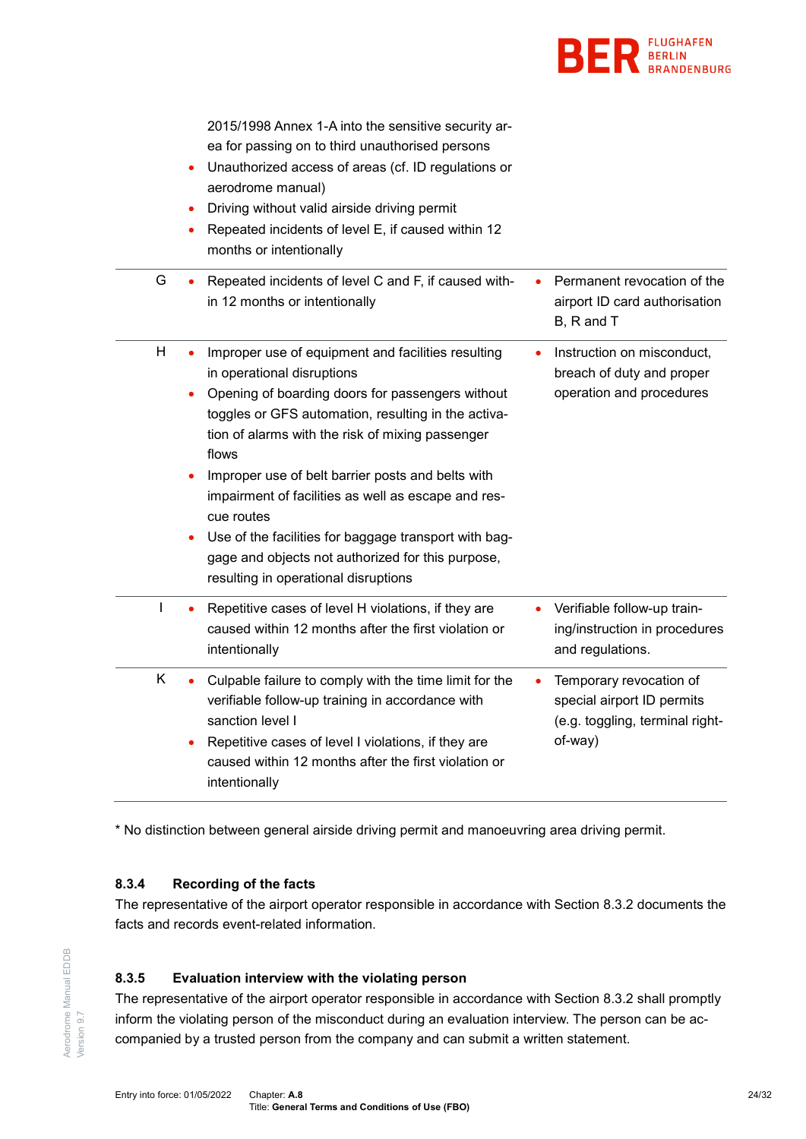

|              | 2015/1998 Annex 1-A into the sensitive security ar-<br>ea for passing on to third unauthorised persons<br>Unauthorized access of areas (cf. ID regulations or<br>aerodrome manual)<br>Driving without valid airside driving permit<br>$\bullet$<br>Repeated incidents of level E, if caused within 12<br>٠<br>months or intentionally                                                                                                                                                                                                                 |                                                                                                     |
|--------------|-------------------------------------------------------------------------------------------------------------------------------------------------------------------------------------------------------------------------------------------------------------------------------------------------------------------------------------------------------------------------------------------------------------------------------------------------------------------------------------------------------------------------------------------------------|-----------------------------------------------------------------------------------------------------|
| G            | Repeated incidents of level C and F, if caused with-<br>$\bullet$<br>in 12 months or intentionally                                                                                                                                                                                                                                                                                                                                                                                                                                                    | Permanent revocation of the<br>airport ID card authorisation<br>B, R and T                          |
| H            | Improper use of equipment and facilities resulting<br>in operational disruptions<br>Opening of boarding doors for passengers without<br>toggles or GFS automation, resulting in the activa-<br>tion of alarms with the risk of mixing passenger<br>flows<br>Improper use of belt barrier posts and belts with<br>impairment of facilities as well as escape and res-<br>cue routes<br>Use of the facilities for baggage transport with bag-<br>$\bullet$<br>gage and objects not authorized for this purpose,<br>resulting in operational disruptions | Instruction on misconduct,<br>breach of duty and proper<br>operation and procedures                 |
| $\mathsf{I}$ | Repetitive cases of level H violations, if they are<br>caused within 12 months after the first violation or<br>intentionally                                                                                                                                                                                                                                                                                                                                                                                                                          | Verifiable follow-up train-<br>ing/instruction in procedures<br>and regulations.                    |
| K            | Culpable failure to comply with the time limit for the<br>verifiable follow-up training in accordance with<br>sanction level I<br>Repetitive cases of level I violations, if they are<br>caused within 12 months after the first violation or<br>intentionally                                                                                                                                                                                                                                                                                        | Temporary revocation of<br>special airport ID permits<br>(e.g. toggling, terminal right-<br>of-way) |

\* No distinction between general airside driving permit and manoeuvring area driving permit.

## **8.3.4 Recording of the facts**

The representative of the airport operator responsible in accordance with Section [8.3.2](#page-20-5) documents the facts and records event-related information.

## **8.3.5 Evaluation interview with the violating person**

The representative of the airport operator responsible in accordance with Section [8.3.2](#page-20-5) shall promptly inform the violating person of the misconduct during an evaluation interview. The person can be accompanied by a trusted person from the company and can submit a written statement.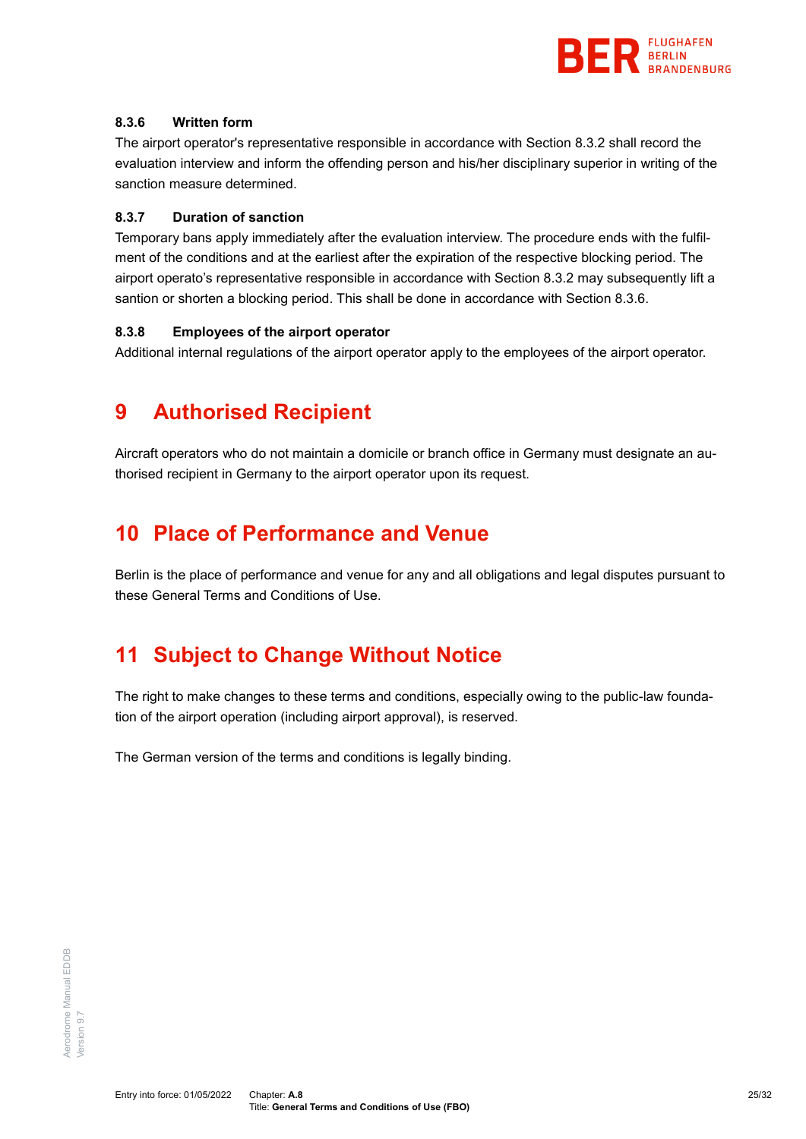

#### <span id="page-24-3"></span>**8.3.6 Written form**

The airport operator's representative responsible in accordance with Section [8.3.2](#page-20-5) shall record the evaluation interview and inform the offending person and his/her disciplinary superior in writing of the sanction measure determined.

#### **8.3.7 Duration of sanction**

Temporary bans apply immediately after the evaluation interview. The procedure ends with the fulfilment of the conditions and at the earliest after the expiration of the respective blocking period. The airport operato's representative responsible in accordance with Section [8.3.2](#page-20-5) may subsequently lift a santion or shorten a blocking period. This shall be done in accordance with Section [8.3.6.](#page-24-3)

#### **8.3.8 Employees of the airport operator**

<span id="page-24-0"></span>Additional internal regulations of the airport operator apply to the employees of the airport operator.

# **9 Authorised Recipient**

Aircraft operators who do not maintain a domicile or branch office in Germany must designate an authorised recipient in Germany to the airport operator upon its request.

# <span id="page-24-1"></span>**10 Place of Performance and Venue**

Berlin is the place of performance and venue for any and all obligations and legal disputes pursuant to these General Terms and Conditions of Use.

# <span id="page-24-2"></span>**11 Subject to Change Without Notice**

The right to make changes to these terms and conditions, especially owing to the public-law foundation of the airport operation (including airport approval), is reserved.

The German version of the terms and conditions is legally binding.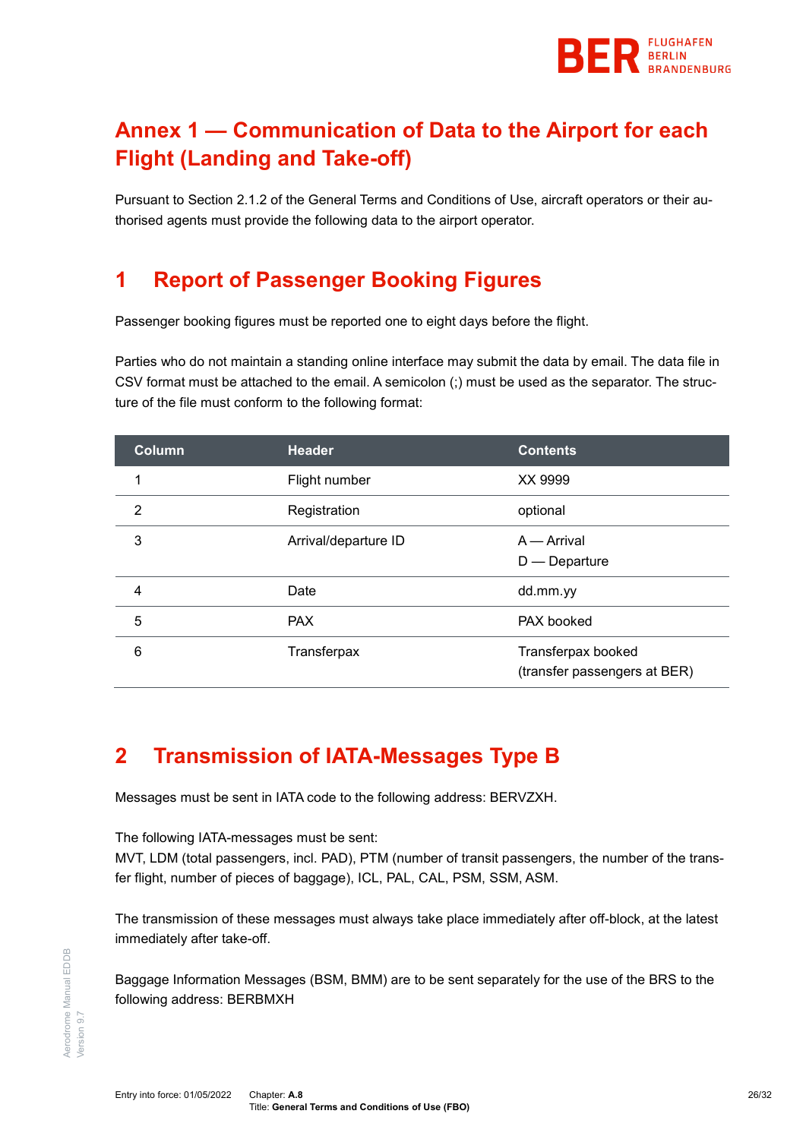

# <span id="page-25-0"></span>**Annex 1 — Communication of Data to the Airport for each Flight (Landing and Take-off)**

Pursuant to Section [2.1.2](#page-5-4) of the General Terms and Conditions of Use, aircraft operators or their authorised agents must provide the following data to the airport operator.

# **1 Report of Passenger Booking Figures**

Passenger booking figures must be reported one to eight days before the flight.

Parties who do not maintain a standing online interface may submit the data by email. The data file in CSV format must be attached to the email. A semicolon (;) must be used as the separator. The structure of the file must conform to the following format:

| <b>Column</b>  | <b>Header</b>        | <b>Contents</b>                                    |
|----------------|----------------------|----------------------------------------------------|
| 1              | Flight number        | XX 9999                                            |
| $\overline{2}$ | Registration         | optional                                           |
| 3              | Arrival/departure ID | $A -$ Arrival<br>$D$ - Departure                   |
| 4              | Date                 | dd.mm.yy                                           |
| 5              | <b>PAX</b>           | PAX booked                                         |
| 6              | Transferpax          | Transferpax booked<br>(transfer passengers at BER) |

# **2 Transmission of IATA-Messages Type B**

Messages must be sent in IATA code to the following address: BERVZXH.

The following IATA-messages must be sent:

MVT, LDM (total passengers, incl. PAD), PTM (number of transit passengers, the number of the transfer flight, number of pieces of baggage), ICL, PAL, CAL, PSM, SSM, ASM.

The transmission of these messages must always take place immediately after off-block, at the latest immediately after take-off.

Baggage Information Messages (BSM, BMM) are to be sent separately for the use of the BRS to the following address: BERBMXH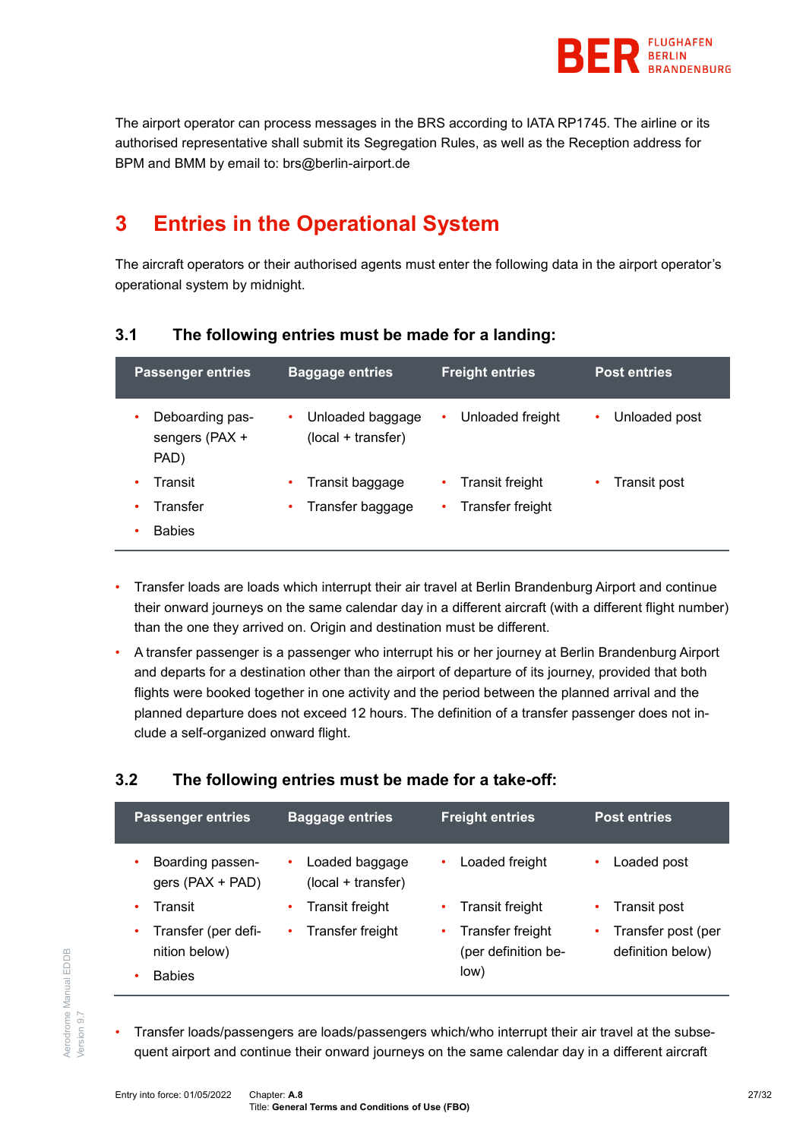

The airport operator can process messages in the BRS according to IATA RP1745. The airline or its authorised representative shall submit its Segregation Rules, as well as the Reception address for BPM and BMM by email to: brs@berlin-airport.de

# **3 Entries in the Operational System**

The aircraft operators or their authorised agents must enter the following data in the airport operator's operational system by midnight.

# **3.1 The following entries must be made for a landing:**

| <b>Passenger entries</b>                       | <b>Baggage entries</b>                 | <b>Freight entries</b> | <b>Post entries</b> |
|------------------------------------------------|----------------------------------------|------------------------|---------------------|
| Deboarding pas-<br>٠<br>sengers (PAX +<br>PAD) | Unloaded baggage<br>(local + transfer) | Unloaded freight<br>٠  | Unloaded post<br>٠  |
| Transit                                        | Transit baggage                        | Transit freight<br>٠   | Transit post<br>٠   |
| Transfer                                       | Transfer baggage                       | Transfer freight<br>٠  |                     |
| <b>Babies</b>                                  |                                        |                        |                     |

- Transfer loads are loads which interrupt their air travel at Berlin Brandenburg Airport and continue their onward journeys on the same calendar day in a different aircraft (with a different flight number) than the one they arrived on. Origin and destination must be different.
- A transfer passenger is a passenger who interrupt his or her journey at Berlin Brandenburg Airport and departs for a destination other than the airport of departure of its journey, provided that both flights were booked together in one activity and the period between the planned arrival and the planned departure does not exceed 12 hours. The definition of a transfer passenger does not include a self-organized onward flight.

# **3.2 The following entries must be made for a take-off:**

| <b>Passenger entries</b>                                   | <b>Baggage entries</b>                    | <b>Freight entries</b>                          | <b>Post entries</b>                          |
|------------------------------------------------------------|-------------------------------------------|-------------------------------------------------|----------------------------------------------|
| Boarding passen-<br>٠<br>gers (PAX + PAD)                  | Loaded baggage<br>٠<br>(local + transfer) | Loaded freight                                  | Loaded post<br>٠                             |
| Transit<br>٠                                               | <b>Transit freight</b>                    | <b>Transit freight</b>                          | Transit post<br>٠                            |
| Transfer (per defi-<br>٠<br>nition below)<br><b>Babies</b> | Transfer freight<br>٠                     | Transfer freight<br>(per definition be-<br>low) | Transfer post (per<br>٠<br>definition below) |

• Transfer loads/passengers are loads/passengers which/who interrupt their air travel at the subsequent airport and continue their onward journeys on the same calendar day in a different aircraft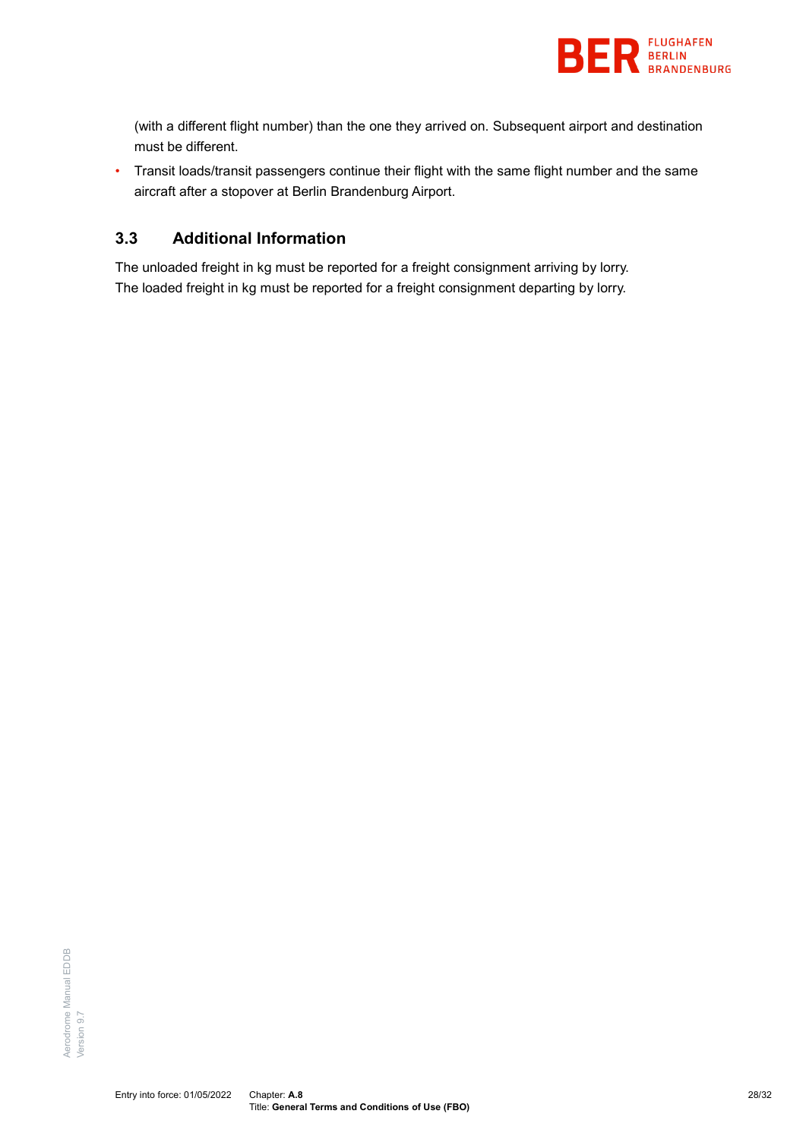

(with a different flight number) than the one they arrived on. Subsequent airport and destination must be different.

• Transit loads/transit passengers continue their flight with the same flight number and the same aircraft after a stopover at Berlin Brandenburg Airport.

# **3.3 Additional Information**

<span id="page-27-0"></span>The unloaded freight in kg must be reported for a freight consignment arriving by lorry. The loaded freight in kg must be reported for a freight consignment departing by lorry.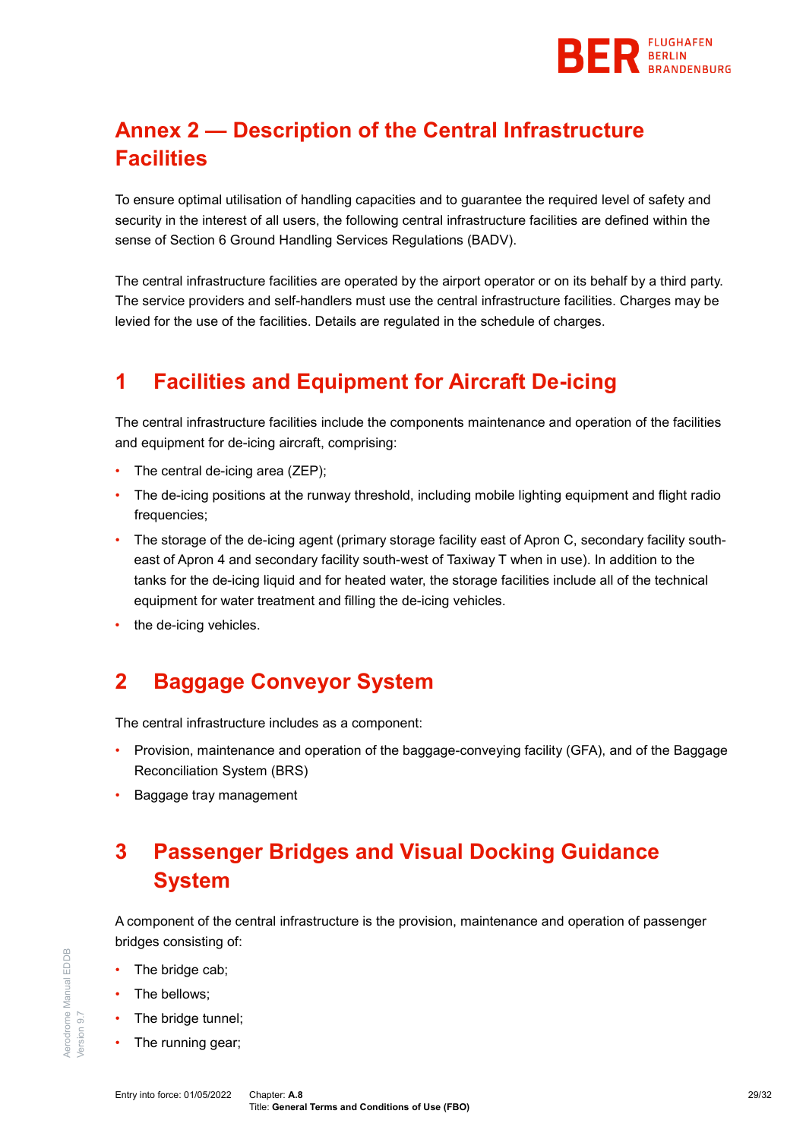

# <span id="page-28-0"></span>**Annex 2 — Description of the Central Infrastructure Facilities**

To ensure optimal utilisation of handling capacities and to guarantee the required level of safety and security in the interest of all users, the following central infrastructure facilities are defined within the sense of Section 6 Ground Handling Services Regulations (BADV).

The central infrastructure facilities are operated by the airport operator or on its behalf by a third party. The service providers and self-handlers must use the central infrastructure facilities. Charges may be levied for the use of the facilities. Details are regulated in the schedule of charges.

# **1 Facilities and Equipment for Aircraft De-icing**

The central infrastructure facilities include the components maintenance and operation of the facilities and equipment for de-icing aircraft, comprising:

- The central de-icing area (ZEP);
- The de-icing positions at the runway threshold, including mobile lighting equipment and flight radio frequencies;
- The storage of the de-icing agent (primary storage facility east of Apron C, secondary facility southeast of Apron 4 and secondary facility south-west of Taxiway T when in use). In addition to the tanks for the de-icing liquid and for heated water, the storage facilities include all of the technical equipment for water treatment and filling the de-icing vehicles.
- the de-icing vehicles.

# **2 Baggage Conveyor System**

The central infrastructure includes as a component:

- Provision, maintenance and operation of the baggage-conveying facility (GFA), and of the Baggage Reconciliation System (BRS)
- Baggage tray management

# **3 Passenger Bridges and Visual Docking Guidance System**

A component of the central infrastructure is the provision, maintenance and operation of passenger bridges consisting of:

- The bridge cab;
- The bellows;

Aerodrome Manual EDDB

Aerodrome Manual EDDB

Version 9.7

/ersion 9.7

- The bridge tunnel;
- The running gear;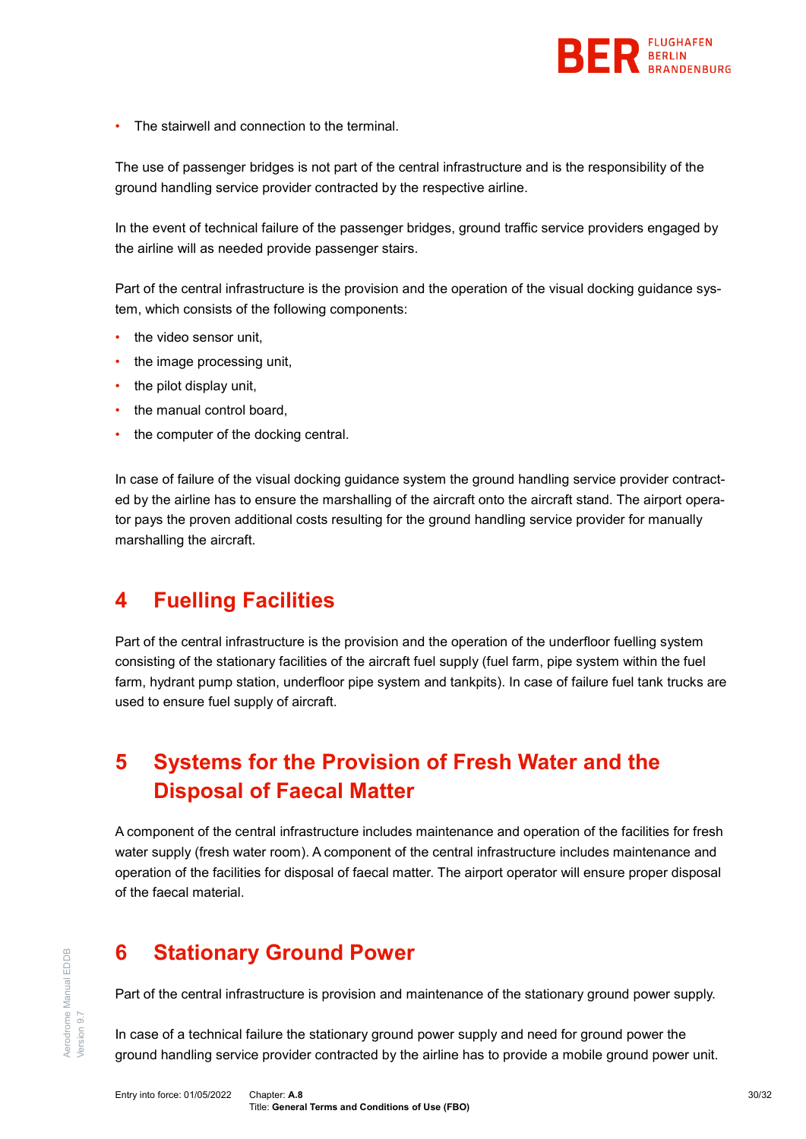

The stairwell and connection to the terminal.

The use of passenger bridges is not part of the central infrastructure and is the responsibility of the ground handling service provider contracted by the respective airline.

In the event of technical failure of the passenger bridges, ground traffic service providers engaged by the airline will as needed provide passenger stairs.

Part of the central infrastructure is the provision and the operation of the visual docking guidance system, which consists of the following components:

- the video sensor unit.
- the image processing unit,
- the pilot display unit,
- the manual control board,
- the computer of the docking central.

In case of failure of the visual docking guidance system the ground handling service provider contracted by the airline has to ensure the marshalling of the aircraft onto the aircraft stand. The airport operator pays the proven additional costs resulting for the ground handling service provider for manually marshalling the aircraft.

# **4 Fuelling Facilities**

Part of the central infrastructure is the provision and the operation of the underfloor fuelling system consisting of the stationary facilities of the aircraft fuel supply (fuel farm, pipe system within the fuel farm, hydrant pump station, underfloor pipe system and tankpits). In case of failure fuel tank trucks are used to ensure fuel supply of aircraft.

# **5 Systems for the Provision of Fresh Water and the Disposal of Faecal Matter**

A component of the central infrastructure includes maintenance and operation of the facilities for fresh water supply (fresh water room). A component of the central infrastructure includes maintenance and operation of the facilities for disposal of faecal matter. The airport operator will ensure proper disposal of the faecal material.

# **6 Stationary Ground Power**

Part of the central infrastructure is provision and maintenance of the stationary ground power supply.

In case of a technical failure the stationary ground power supply and need for ground power the ground handling service provider contracted by the airline has to provide a mobile ground power unit.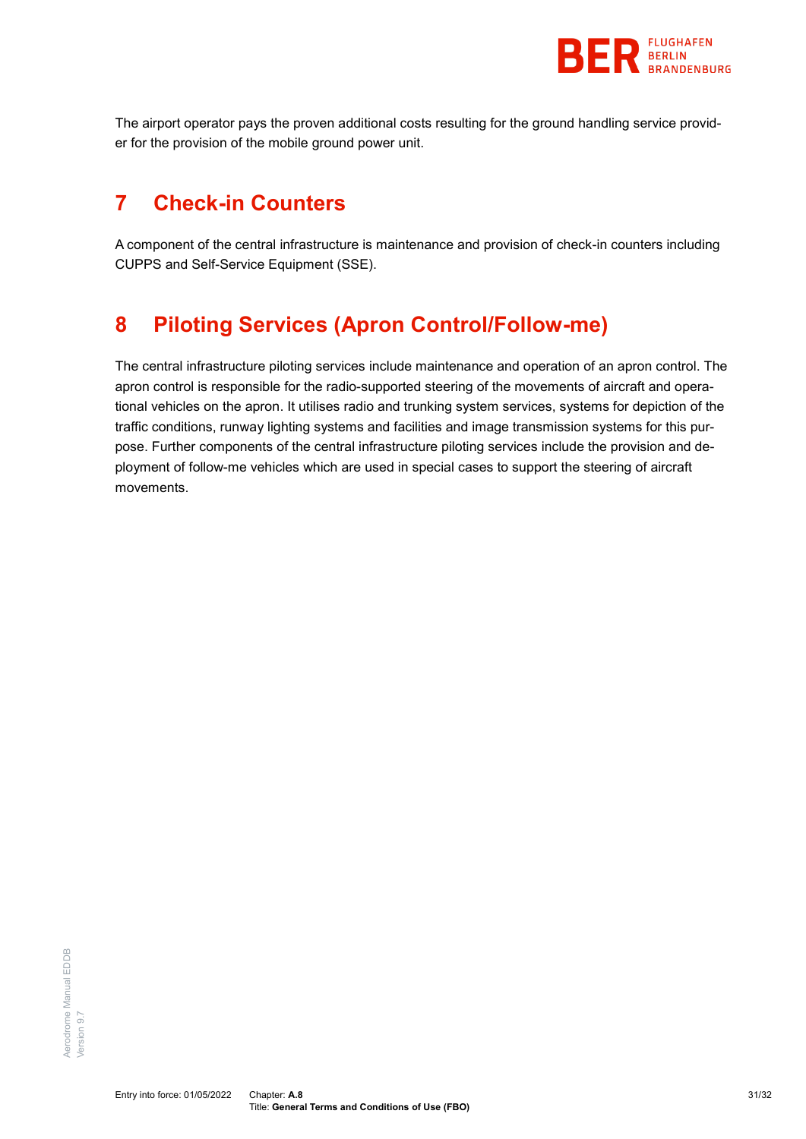

The airport operator pays the proven additional costs resulting for the ground handling service provider for the provision of the mobile ground power unit.

# **7 Check-in Counters**

A component of the central infrastructure is maintenance and provision of check-in counters including CUPPS and Self-Service Equipment (SSE).

# **8 Piloting Services (Apron Control/Follow-me)**

<span id="page-30-0"></span>The central infrastructure piloting services include maintenance and operation of an apron control. The apron control is responsible for the radio-supported steering of the movements of aircraft and operational vehicles on the apron. It utilises radio and trunking system services, systems for depiction of the traffic conditions, runway lighting systems and facilities and image transmission systems for this purpose. Further components of the central infrastructure piloting services include the provision and deployment of follow-me vehicles which are used in special cases to support the steering of aircraft movements.